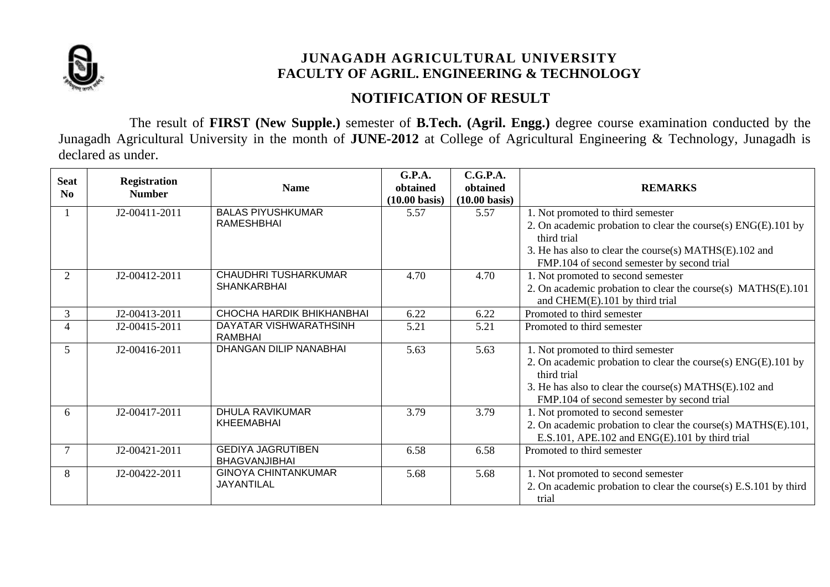

# **NOTIFICATION OF RESULT**

The result of **FIRST (New Supple.)** semester of **B.Tech. (Agril. Engg.)** degree course examination conducted by the Junagadh Agricultural University in the month of **JUNE-2012** at College of Agricultural Engineering & Technology, Junagadh is declared as under.

| <b>Seat</b><br>N <sub>0</sub> | <b>Registration</b><br><b>Number</b> | <b>Name</b>                                      | G.P.A.<br>obtained<br>$(10.00 \text{ basis})$ | C.G.P.A.<br>obtained<br>$(10.00 \text{ basis})$ | <b>REMARKS</b>                                                                                                                                                                                                            |
|-------------------------------|--------------------------------------|--------------------------------------------------|-----------------------------------------------|-------------------------------------------------|---------------------------------------------------------------------------------------------------------------------------------------------------------------------------------------------------------------------------|
|                               | J2-00411-2011                        | <b>BALAS PIYUSHKUMAR</b><br><b>RAMESHBHAI</b>    | 5.57                                          | 5.57                                            | 1. Not promoted to third semester<br>2. On academic probation to clear the course(s) ENG(E).101 by<br>third trial<br>3. He has also to clear the course(s) MATHS(E).102 and<br>FMP.104 of second semester by second trial |
| 2                             | J2-00412-2011                        | CHAUDHRI TUSHARKUMAR<br><b>SHANKARBHAI</b>       | 4.70                                          | 4.70                                            | 1. Not promoted to second semester<br>2. On academic probation to clear the course(s) MATHS(E).101<br>and CHEM(E).101 by third trial                                                                                      |
| 3                             | J2-00413-2011                        | CHOCHA HARDIK BHIKHANBHAI                        | 6.22                                          | 6.22                                            | Promoted to third semester                                                                                                                                                                                                |
| $\overline{4}$                | J2-00415-2011                        | DAYATAR VISHWARATHSINH<br>RAMBHAI                | 5.21                                          | 5.21                                            | Promoted to third semester                                                                                                                                                                                                |
| 5                             | J2-00416-2011                        | DHANGAN DILIP NANABHAI                           | 5.63                                          | 5.63                                            | 1. Not promoted to third semester<br>2. On academic probation to clear the course(s) ENG(E).101 by<br>third trial<br>3. He has also to clear the course(s) MATHS(E).102 and<br>FMP.104 of second semester by second trial |
| 6                             | J2-00417-2011                        | <b>DHULA RAVIKUMAR</b><br>KHEEMABHAI             | 3.79                                          | 3.79                                            | 1. Not promoted to second semester<br>2. On academic probation to clear the course(s) MATHS(E).101,<br>E.S.101, APE.102 and ENG(E).101 by third trial                                                                     |
| $\overline{7}$                | J2-00421-2011                        | <b>GEDIYA JAGRUTIBEN</b><br><b>BHAGVANJIBHAI</b> | 6.58                                          | 6.58                                            | Promoted to third semester                                                                                                                                                                                                |
| 8                             | J2-00422-2011                        | <b>GINOYA CHINTANKUMAR</b><br>JAYANTILAL         | 5.68                                          | 5.68                                            | 1. Not promoted to second semester<br>2. On academic probation to clear the course(s) E.S.101 by third<br>trial                                                                                                           |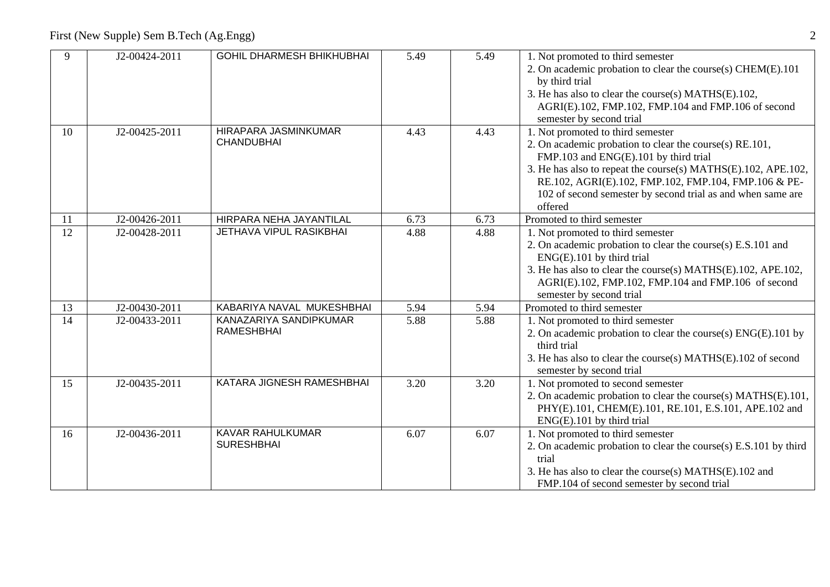| 9               | J2-00424-2011 | <b>GOHIL DHARMESH BHIKHUBHAI</b>             | 5.49 | 5.49 | 1. Not promoted to third semester<br>2. On academic probation to clear the course(s) CHEM(E).101<br>by third trial<br>3. He has also to clear the course(s) MATHS(E).102,<br>AGRI(E).102, FMP.102, FMP.104 and FMP.106 of second<br>semester by second trial                                                                             |
|-----------------|---------------|----------------------------------------------|------|------|------------------------------------------------------------------------------------------------------------------------------------------------------------------------------------------------------------------------------------------------------------------------------------------------------------------------------------------|
| 10              | J2-00425-2011 | HIRAPARA JASMINKUMAR<br><b>CHANDUBHAI</b>    | 4.43 | 4.43 | 1. Not promoted to third semester<br>2. On academic probation to clear the course(s) RE.101,<br>FMP.103 and ENG(E).101 by third trial<br>3. He has also to repeat the course(s) MATHS(E).102, APE.102,<br>RE.102, AGRI(E).102, FMP.102, FMP.104, FMP.106 & PE-<br>102 of second semester by second trial as and when same are<br>offered |
| 11              | J2-00426-2011 | HIRPARA NEHA JAYANTILAL                      | 6.73 | 6.73 | Promoted to third semester                                                                                                                                                                                                                                                                                                               |
| $\overline{12}$ | J2-00428-2011 | JETHAVA VIPUL RASIKBHAI                      | 4.88 | 4.88 | 1. Not promoted to third semester<br>2. On academic probation to clear the course(s) E.S.101 and<br>$ENG(E)$ .101 by third trial<br>3. He has also to clear the course(s) MATHS(E).102, APE.102,<br>AGRI(E).102, FMP.102, FMP.104 and FMP.106 of second<br>semester by second trial                                                      |
| 13              | J2-00430-2011 | KABARIYA NAVAL MUKESHBHAI                    | 5.94 | 5.94 | Promoted to third semester                                                                                                                                                                                                                                                                                                               |
| $\overline{14}$ | J2-00433-2011 | KANAZARIYA SANDIPKUMAR<br><b>RAMESHBHAI</b>  | 5.88 | 5.88 | 1. Not promoted to third semester<br>2. On academic probation to clear the course(s) ENG(E).101 by<br>third trial<br>3. He has also to clear the course(s) MATHS(E).102 of second<br>semester by second trial                                                                                                                            |
| 15              | J2-00435-2011 | KATARA JIGNESH RAMESHBHAI                    | 3.20 | 3.20 | 1. Not promoted to second semester<br>2. On academic probation to clear the course(s) MATHS(E).101,<br>PHY(E).101, CHEM(E).101, RE.101, E.S.101, APE.102 and<br>$ENG(E)$ .101 by third trial                                                                                                                                             |
| 16              | J2-00436-2011 | <b>KAVAR RAHULKUMAR</b><br><b>SURESHBHAI</b> | 6.07 | 6.07 | 1. Not promoted to third semester<br>2. On academic probation to clear the course(s) E.S.101 by third<br>trial<br>3. He has also to clear the course(s) MATHS(E).102 and<br>FMP.104 of second semester by second trial                                                                                                                   |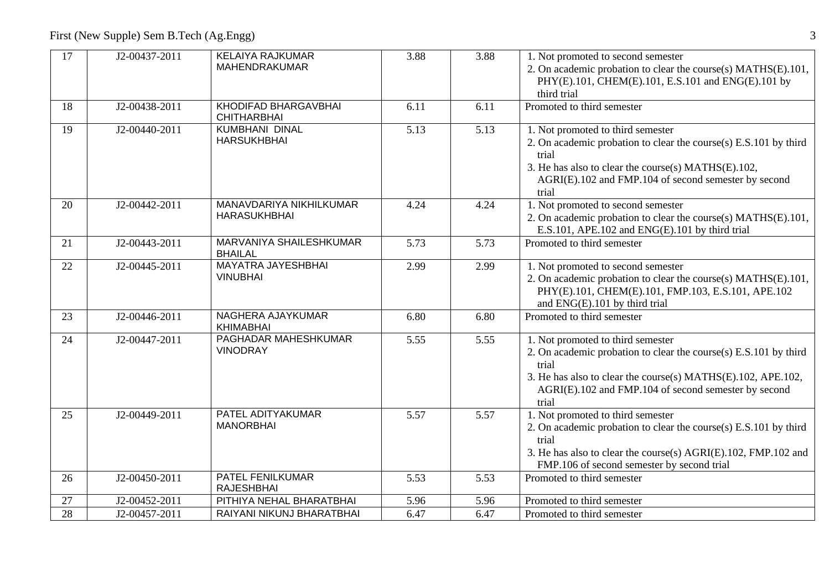First (New Supple) Sem B.Tech (Ag.Engg) 3

| 17              | J2-00437-2011 | <b>KELAIYA RAJKUMAR</b><br>MAHENDRAKUMAR       | 3.88 | 3.88 | 1. Not promoted to second semester<br>2. On academic probation to clear the course(s) MATHS(E).101,<br>PHY(E).101, CHEM(E).101, E.S.101 and ENG(E).101 by<br>third trial                                                                        |
|-----------------|---------------|------------------------------------------------|------|------|-------------------------------------------------------------------------------------------------------------------------------------------------------------------------------------------------------------------------------------------------|
| 18              | J2-00438-2011 | KHODIFAD BHARGAVBHAI<br><b>CHITHARBHAI</b>     | 6.11 | 6.11 | Promoted to third semester                                                                                                                                                                                                                      |
| 19              | J2-00440-2011 | <b>KUMBHANI DINAL</b><br><b>HARSUKHBHAI</b>    | 5.13 | 5.13 | 1. Not promoted to third semester<br>2. On academic probation to clear the course(s) E.S.101 by third<br>trial<br>3. He has also to clear the course(s) MATHS(E).102,<br>AGRI(E).102 and FMP.104 of second semester by second<br>trial          |
| 20              | J2-00442-2011 | MANAVDARIYA NIKHILKUMAR<br><b>HARASUKHBHAI</b> | 4.24 | 4.24 | 1. Not promoted to second semester<br>2. On academic probation to clear the course(s) MATHS(E).101,<br>E.S.101, APE.102 and ENG(E).101 by third trial                                                                                           |
| 21              | J2-00443-2011 | MARVANIYA SHAILESHKUMAR<br><b>BHAILAL</b>      | 5.73 | 5.73 | Promoted to third semester                                                                                                                                                                                                                      |
| 22              | J2-00445-2011 | <b>MAYATRA JAYESHBHAI</b><br><b>VINUBHAI</b>   | 2.99 | 2.99 | 1. Not promoted to second semester<br>2. On academic probation to clear the course(s) MATHS(E).101,<br>PHY(E).101, CHEM(E).101, FMP.103, E.S.101, APE.102<br>and ENG(E).101 by third trial                                                      |
| 23              | J2-00446-2011 | NAGHERA AJAYKUMAR<br><b>KHIMABHAI</b>          | 6.80 | 6.80 | Promoted to third semester                                                                                                                                                                                                                      |
| 24              | J2-00447-2011 | PAGHADAR MAHESHKUMAR<br><b>VINODRAY</b>        | 5.55 | 5.55 | 1. Not promoted to third semester<br>2. On academic probation to clear the course(s) E.S.101 by third<br>trial<br>3. He has also to clear the course(s) MATHS(E).102, APE.102,<br>AGRI(E).102 and FMP.104 of second semester by second<br>trial |
| 25              | J2-00449-2011 | <b>PATEL ADITYAKUMAR</b><br><b>MANORBHAI</b>   | 5.57 | 5.57 | 1. Not promoted to third semester<br>2. On academic probation to clear the course(s) E.S.101 by third<br>trial<br>3. He has also to clear the course(s) AGRI(E).102, FMP.102 and<br>FMP.106 of second semester by second trial                  |
| 26              | J2-00450-2011 | <b>PATEL FENILKUMAR</b><br><b>RAJESHBHAI</b>   | 5.53 | 5.53 | Promoted to third semester                                                                                                                                                                                                                      |
| 27              | J2-00452-2011 | PITHIYA NEHAL BHARATBHAI                       | 5.96 | 5.96 | Promoted to third semester                                                                                                                                                                                                                      |
| $\overline{28}$ | J2-00457-2011 | RAIYANI NIKUNJ BHARATBHAI                      | 6.47 | 6.47 | Promoted to third semester                                                                                                                                                                                                                      |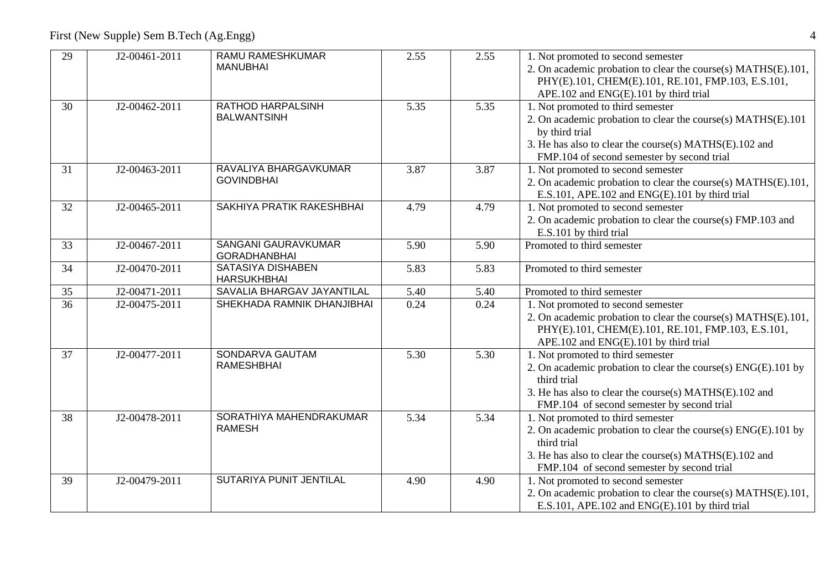First (New Supple) Sem B.Tech (Ag.Engg) 4

| 29              | J2-00461-2011 | <b>RAMU RAMESHKUMAR</b><br><b>MANUBHAI</b>        | 2.55 | 2.55 | 1. Not promoted to second semester<br>2. On academic probation to clear the course(s) MATHS(E).101,<br>PHY(E).101, CHEM(E).101, RE.101, FMP.103, E.S.101,<br>APE.102 and ENG(E).101 by third trial                          |
|-----------------|---------------|---------------------------------------------------|------|------|-----------------------------------------------------------------------------------------------------------------------------------------------------------------------------------------------------------------------------|
| 30              | J2-00462-2011 | RATHOD HARPALSINH<br><b>BALWANTSINH</b>           | 5.35 | 5.35 | 1. Not promoted to third semester<br>2. On academic probation to clear the course(s) MATHS(E).101<br>by third trial<br>3. He has also to clear the course(s) MATHS(E).102 and<br>FMP.104 of second semester by second trial |
| 31              | J2-00463-2011 | RAVALIYA BHARGAVKUMAR<br><b>GOVINDBHAI</b>        | 3.87 | 3.87 | 1. Not promoted to second semester<br>2. On academic probation to clear the course(s) MATHS(E).101,<br>E.S.101, APE.102 and ENG(E).101 by third trial                                                                       |
| 32              | J2-00465-2011 | SAKHIYA PRATIK RAKESHBHAI                         | 4.79 | 4.79 | 1. Not promoted to second semester<br>2. On academic probation to clear the course(s) FMP.103 and<br>E.S.101 by third trial                                                                                                 |
| 33              | J2-00467-2011 | <b>SANGANI GAURAVKUMAR</b><br><b>GORADHANBHAI</b> | 5.90 | 5.90 | Promoted to third semester                                                                                                                                                                                                  |
| 34              | J2-00470-2011 | <b>SATASIYA DISHABEN</b><br><b>HARSUKHBHAI</b>    | 5.83 | 5.83 | Promoted to third semester                                                                                                                                                                                                  |
| 35              | J2-00471-2011 | SAVALIA BHARGAV JAYANTILAL                        | 5.40 | 5.40 | Promoted to third semester                                                                                                                                                                                                  |
| $\overline{36}$ | J2-00475-2011 | SHEKHADA RAMNIK DHANJIBHAI                        | 0.24 | 0.24 | 1. Not promoted to second semester<br>2. On academic probation to clear the course(s) MATHS(E).101,<br>PHY(E).101, CHEM(E).101, RE.101, FMP.103, E.S.101,<br>APE.102 and ENG(E).101 by third trial                          |
| 37              | J2-00477-2011 | SONDARVA GAUTAM<br><b>RAMESHBHAI</b>              | 5.30 | 5.30 | 1. Not promoted to third semester<br>2. On academic probation to clear the course(s) ENG(E).101 by<br>third trial<br>3. He has also to clear the course(s) MATHS(E).102 and<br>FMP.104 of second semester by second trial   |
| 38              | J2-00478-2011 | SORATHIYA MAHENDRAKUMAR<br><b>RAMESH</b>          | 5.34 | 5.34 | 1. Not promoted to third semester<br>2. On academic probation to clear the course(s) ENG(E).101 by<br>third trial<br>3. He has also to clear the course(s) MATHS(E).102 and<br>FMP.104 of second semester by second trial   |
| 39              | J2-00479-2011 | SUTARIYA PUNIT JENTILAL                           | 4.90 | 4.90 | 1. Not promoted to second semester<br>2. On academic probation to clear the course(s) MATHS(E).101,<br>E.S.101, APE.102 and ENG(E).101 by third trial                                                                       |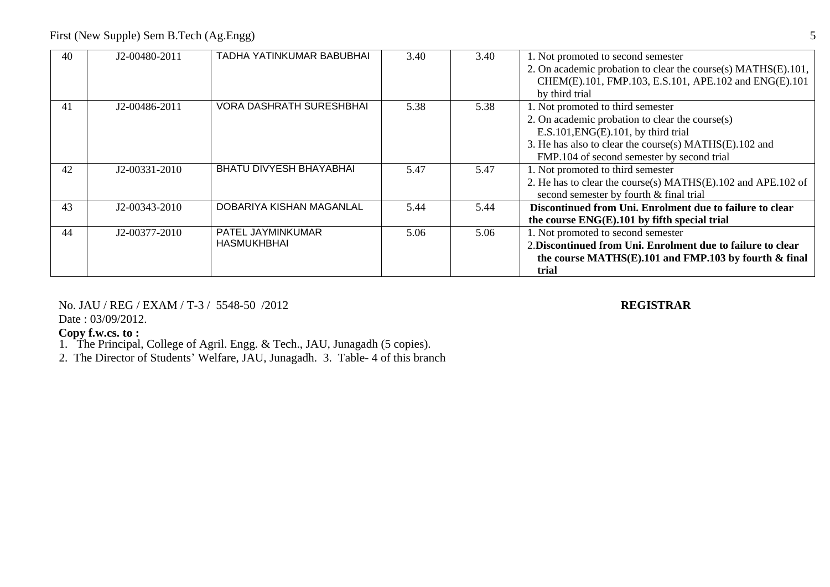| 40 | J2-00480-2011 | TADHA YATINKUMAR BABUBHAI        | 3.40 | 3.40 | 1. Not promoted to second semester<br>2. On academic probation to clear the course(s) MATHS(E).101,<br>CHEM(E).101, FMP.103, E.S.101, APE.102 and ENG(E).101                                                                                             |
|----|---------------|----------------------------------|------|------|----------------------------------------------------------------------------------------------------------------------------------------------------------------------------------------------------------------------------------------------------------|
| 41 | J2-00486-2011 | <b>VORA DASHRATH SURESHBHAI</b>  | 5.38 | 5.38 | by third trial<br>1. Not promoted to third semester<br>2. On academic probation to clear the course(s)<br>$E.S.101, ENG(E).101$ , by third trial<br>3. He has also to clear the course(s) MATHS(E).102 and<br>FMP.104 of second semester by second trial |
| 42 | J2-00331-2010 | <b>BHATU DIVYESH BHAYABHAI</b>   | 5.47 | 5.47 | 1. Not promoted to third semester<br>2. He has to clear the course(s) MATHS(E).102 and APE.102 of<br>second semester by fourth & final trial                                                                                                             |
| 43 | J2-00343-2010 | DOBARIYA KISHAN MAGANLAL         | 5.44 | 5.44 | Discontinued from Uni. Enrolment due to failure to clear<br>the course $ENG(E)$ .101 by fifth special trial                                                                                                                                              |
| 44 | J2-00377-2010 | PATEL JAYMINKUMAR<br>HASMUKHBHAI | 5.06 | 5.06 | 1. Not promoted to second semester<br>2. Discontinued from Uni. Enrolment due to failure to clear<br>the course MATHS(E).101 and FMP.103 by fourth & final<br>trial                                                                                      |

No. JAU / REG / EXAM / T-3 / 5548-50 /2012 **REGISTRAR** Date : 03/09/2012.

### **Copy f.w.cs. to :**

1. The Principal, College of Agril. Engg. & Tech., JAU, Junagadh (5 copies).

2. The Director of Students' Welfare, JAU, Junagadh. 3. Table- 4 of this branch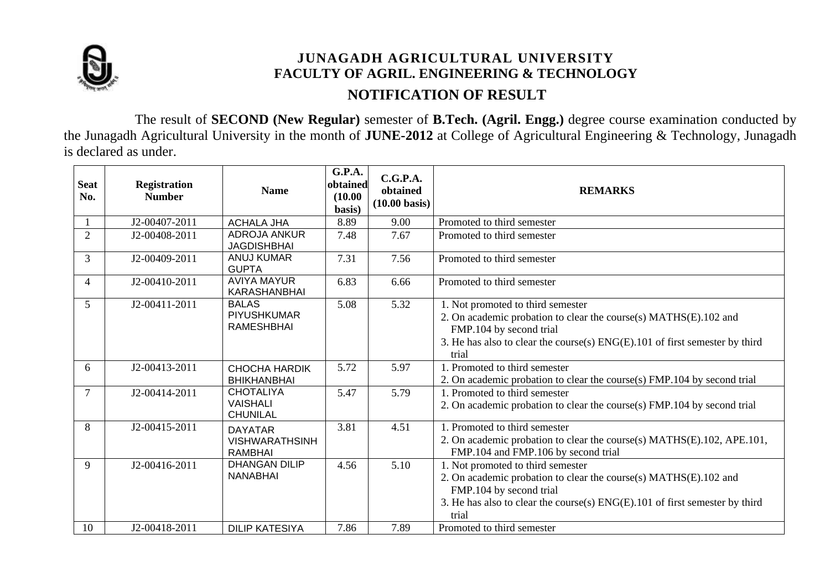

# **JUNAGADH AGRICULTURAL UNIVERSITY FACULTY OF AGRIL. ENGINEERING & TECHNOLOGY NOTIFICATION OF RESULT**

The result of **SECOND (New Regular)** semester of **B.Tech. (Agril. Engg.)** degree course examination conducted by the Junagadh Agricultural University in the month of **JUNE-2012** at College of Agricultural Engineering & Technology, Junagadh is declared as under.

| <b>Seat</b><br>No. | <b>Registration</b><br><b>Number</b> | <b>Name</b>                                               | <b>G.P.A.</b><br>obtained<br>(10.00)<br>basis) | C.G.P.A.<br>obtained<br>$(10.00 \text{ basis})$ | <b>REMARKS</b>                                                                                                                                                                                                               |
|--------------------|--------------------------------------|-----------------------------------------------------------|------------------------------------------------|-------------------------------------------------|------------------------------------------------------------------------------------------------------------------------------------------------------------------------------------------------------------------------------|
|                    | J2-00407-2011                        | <b>ACHALA JHA</b>                                         | 8.89                                           | 9.00                                            | Promoted to third semester                                                                                                                                                                                                   |
| $\overline{2}$     | J2-00408-2011                        | <b>ADROJA ANKUR</b><br><b>JAGDISHBHAI</b>                 | 7.48                                           | 7.67                                            | Promoted to third semester                                                                                                                                                                                                   |
| 3                  | J2-00409-2011                        | <b>ANUJ KUMAR</b><br><b>GUPTA</b>                         | 7.31                                           | 7.56                                            | Promoted to third semester                                                                                                                                                                                                   |
| 4                  | J2-00410-2011                        | <b>AVIYA MAYUR</b><br>KARASHANBHAI                        | 6.83                                           | 6.66                                            | Promoted to third semester                                                                                                                                                                                                   |
| 5                  | J2-00411-2011                        | <b>BALAS</b><br><b>PIYUSHKUMAR</b><br><b>RAMESHBHAI</b>   | 5.08                                           | 5.32                                            | 1. Not promoted to third semester<br>2. On academic probation to clear the course(s) MATHS(E).102 and<br>FMP.104 by second trial<br>3. He has also to clear the course(s) $ENG(E)$ . 101 of first semester by third<br>trial |
| 6                  | J2-00413-2011                        | <b>CHOCHA HARDIK</b><br><b>BHIKHANBHAI</b>                | 5.72                                           | 5.97                                            | 1. Promoted to third semester<br>2. On academic probation to clear the course(s) FMP.104 by second trial                                                                                                                     |
| $\overline{7}$     | J2-00414-2011                        | <b>CHOTALIYA</b><br><b>VAISHALI</b><br><b>CHUNILAL</b>    | 5.47                                           | 5.79                                            | 1. Promoted to third semester<br>2. On academic probation to clear the course(s) FMP.104 by second trial                                                                                                                     |
| 8                  | J2-00415-2011                        | <b>DAYATAR</b><br><b>VISHWARATHSINH</b><br><b>RAMBHAI</b> | 3.81                                           | 4.51                                            | 1. Promoted to third semester<br>2. On academic probation to clear the course(s) MATHS(E).102, APE.101,<br>FMP.104 and FMP.106 by second trial                                                                               |
| 9                  | J2-00416-2011                        | <b>DHANGAN DILIP</b><br><b>NANABHAI</b>                   | 4.56                                           | 5.10                                            | 1. Not promoted to third semester<br>2. On academic probation to clear the course(s) MATHS(E).102 and<br>FMP.104 by second trial<br>3. He has also to clear the course(s) $ENG(E)$ . 101 of first semester by third<br>trial |
| 10                 | J2-00418-2011                        | <b>DILIP KATESIYA</b>                                     | 7.86                                           | 7.89                                            | Promoted to third semester                                                                                                                                                                                                   |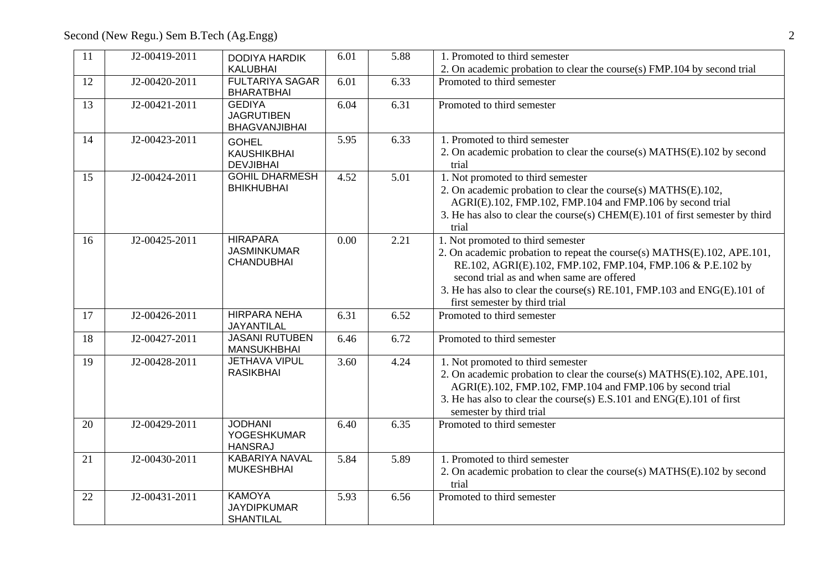| 11 | J2-00419-2011 | <b>DODIYA HARDIK</b>                                       | 6.01 | 5.88 | 1. Promoted to third semester                                                                                                                                                                                                                                                                                                        |
|----|---------------|------------------------------------------------------------|------|------|--------------------------------------------------------------------------------------------------------------------------------------------------------------------------------------------------------------------------------------------------------------------------------------------------------------------------------------|
|    |               | <b>KALUBHAI</b>                                            |      |      | 2. On academic probation to clear the course(s) FMP.104 by second trial                                                                                                                                                                                                                                                              |
| 12 | J2-00420-2011 | <b>FULTARIYA SAGAR</b><br><b>BHARATBHAI</b>                | 6.01 | 6.33 | Promoted to third semester                                                                                                                                                                                                                                                                                                           |
| 13 | J2-00421-2011 | <b>GEDIYA</b><br><b>JAGRUTIBEN</b><br><b>BHAGVANJIBHAI</b> | 6.04 | 6.31 | Promoted to third semester                                                                                                                                                                                                                                                                                                           |
| 14 | J2-00423-2011 | <b>GOHEL</b><br><b>KAUSHIKBHAI</b><br><b>DEVJIBHAI</b>     | 5.95 | 6.33 | 1. Promoted to third semester<br>2. On academic probation to clear the course(s) MATHS(E).102 by second<br>trial                                                                                                                                                                                                                     |
| 15 | J2-00424-2011 | <b>GOHIL DHARMESH</b><br><b>BHIKHUBHAI</b>                 | 4.52 | 5.01 | 1. Not promoted to third semester<br>2. On academic probation to clear the course(s) MATHS(E).102,<br>AGRI(E).102, FMP.102, FMP.104 and FMP.106 by second trial<br>3. He has also to clear the course(s) CHEM(E).101 of first semester by third<br>trial                                                                             |
| 16 | J2-00425-2011 | <b>HIRAPARA</b><br><b>JASMINKUMAR</b><br><b>CHANDUBHAI</b> | 0.00 | 2.21 | 1. Not promoted to third semester<br>2. On academic probation to repeat the course(s) MATHS(E).102, APE.101,<br>RE.102, AGRI(E).102, FMP.102, FMP.104, FMP.106 & P.E.102 by<br>second trial as and when same are offered<br>3. He has also to clear the course(s) RE.101, FMP.103 and ENG(E).101 of<br>first semester by third trial |
| 17 | J2-00426-2011 | <b>HIRPARA NEHA</b><br>JAYANTILAL                          | 6.31 | 6.52 | Promoted to third semester                                                                                                                                                                                                                                                                                                           |
| 18 | J2-00427-2011 | <b>JASANI RUTUBEN</b><br><b>MANSUKHBHAI</b>                | 6.46 | 6.72 | Promoted to third semester                                                                                                                                                                                                                                                                                                           |
| 19 | J2-00428-2011 | <b>JETHAVA VIPUL</b><br><b>RASIKBHAI</b>                   | 3.60 | 4.24 | 1. Not promoted to third semester<br>2. On academic probation to clear the course(s) MATHS(E).102, APE.101,<br>AGRI(E).102, FMP.102, FMP.104 and FMP.106 by second trial<br>3. He has also to clear the course(s) E.S.101 and ENG(E).101 of first<br>semester by third trial                                                         |
| 20 | J2-00429-2011 | <b>JODHANI</b><br><b>YOGESHKUMAR</b><br><b>HANSRAJ</b>     | 6.40 | 6.35 | Promoted to third semester                                                                                                                                                                                                                                                                                                           |
| 21 | J2-00430-2011 | <b>KABARIYA NAVAL</b><br><b>MUKESHBHAI</b>                 | 5.84 | 5.89 | 1. Promoted to third semester<br>2. On academic probation to clear the course(s) MATHS(E).102 by second<br>trial                                                                                                                                                                                                                     |
| 22 | J2-00431-2011 | <b>KAMOYA</b><br><b>JAYDIPKUMAR</b><br><b>SHANTILAL</b>    | 5.93 | 6.56 | Promoted to third semester                                                                                                                                                                                                                                                                                                           |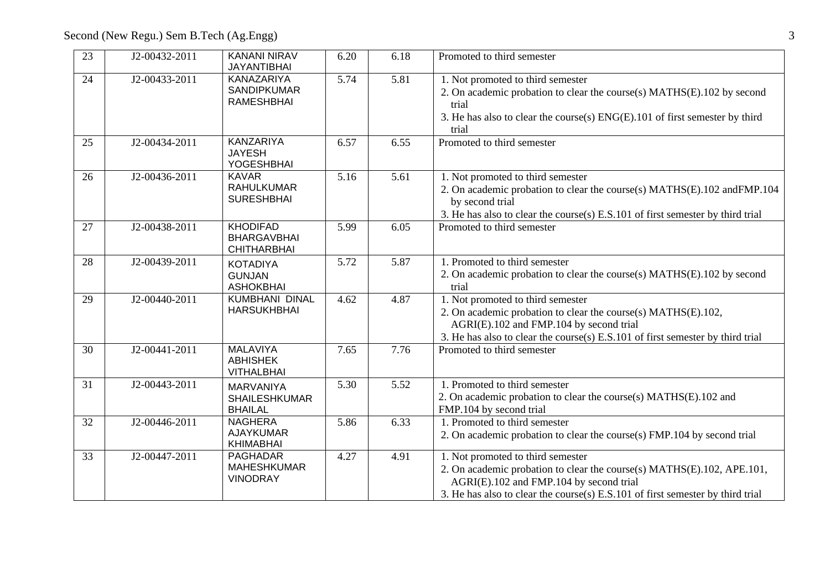| 23 | J2-00432-2011 | <b>KANANI NIRAV</b><br><b>JAYANTIBHAI</b>                   | 6.20              | 6.18 | Promoted to third semester                                                                                                                                                                                                               |
|----|---------------|-------------------------------------------------------------|-------------------|------|------------------------------------------------------------------------------------------------------------------------------------------------------------------------------------------------------------------------------------------|
| 24 | J2-00433-2011 | KANAZARIYA<br><b>SANDIPKUMAR</b><br><b>RAMESHBHAI</b>       | 5.74              | 5.81 | 1. Not promoted to third semester<br>2. On academic probation to clear the course(s) MATHS(E).102 by second<br>trial<br>3. He has also to clear the course(s) ENG(E).101 of first semester by third<br>trial                             |
| 25 | J2-00434-2011 | <b>KANZARIYA</b><br><b>JAYESH</b><br><b>YOGESHBHAI</b>      | 6.57              | 6.55 | Promoted to third semester                                                                                                                                                                                                               |
| 26 | J2-00436-2011 | <b>KAVAR</b><br><b>RAHULKUMAR</b><br><b>SURESHBHAI</b>      | $\overline{5.16}$ | 5.61 | 1. Not promoted to third semester<br>2. On academic probation to clear the course(s) MATHS(E).102 and FMP.104<br>by second trial<br>3. He has also to clear the course(s) E.S.101 of first semester by third trial                       |
| 27 | J2-00438-2011 | <b>KHODIFAD</b><br><b>BHARGAVBHAI</b><br><b>CHITHARBHAI</b> | 5.99              | 6.05 | Promoted to third semester                                                                                                                                                                                                               |
| 28 | J2-00439-2011 | <b>KOTADIYA</b><br><b>GUNJAN</b><br><b>ASHOKBHAI</b>        | 5.72              | 5.87 | 1. Promoted to third semester<br>2. On academic probation to clear the course(s) MATHS(E).102 by second<br>trial                                                                                                                         |
| 29 | J2-00440-2011 | <b>KUMBHANI DINAL</b><br><b>HARSUKHBHAI</b>                 | 4.62              | 4.87 | 1. Not promoted to third semester<br>2. On academic probation to clear the course(s) MATHS(E).102,<br>AGRI(E).102 and FMP.104 by second trial<br>3. He has also to clear the course(s) E.S.101 of first semester by third trial          |
| 30 | J2-00441-2011 | <b>MALAVIYA</b><br><b>ABHISHEK</b><br><b>VITHALBHAI</b>     | 7.65              | 7.76 | Promoted to third semester                                                                                                                                                                                                               |
| 31 | J2-00443-2011 | <b>MARVANIYA</b><br><b>SHAILESHKUMAR</b><br><b>BHAILAL</b>  | 5.30              | 5.52 | 1. Promoted to third semester<br>2. On academic probation to clear the course(s) MATHS(E).102 and<br>FMP.104 by second trial                                                                                                             |
| 32 | J2-00446-2011 | <b>NAGHERA</b><br><b>AJAYKUMAR</b><br><b>KHIMABHAI</b>      | 5.86              | 6.33 | 1. Promoted to third semester<br>2. On academic probation to clear the course(s) FMP.104 by second trial                                                                                                                                 |
| 33 | J2-00447-2011 | PAGHADAR<br><b>MAHESHKUMAR</b><br><b>VINODRAY</b>           | 4.27              | 4.91 | 1. Not promoted to third semester<br>2. On academic probation to clear the course(s) MATHS(E).102, APE.101,<br>AGRI(E).102 and FMP.104 by second trial<br>3. He has also to clear the course(s) E.S.101 of first semester by third trial |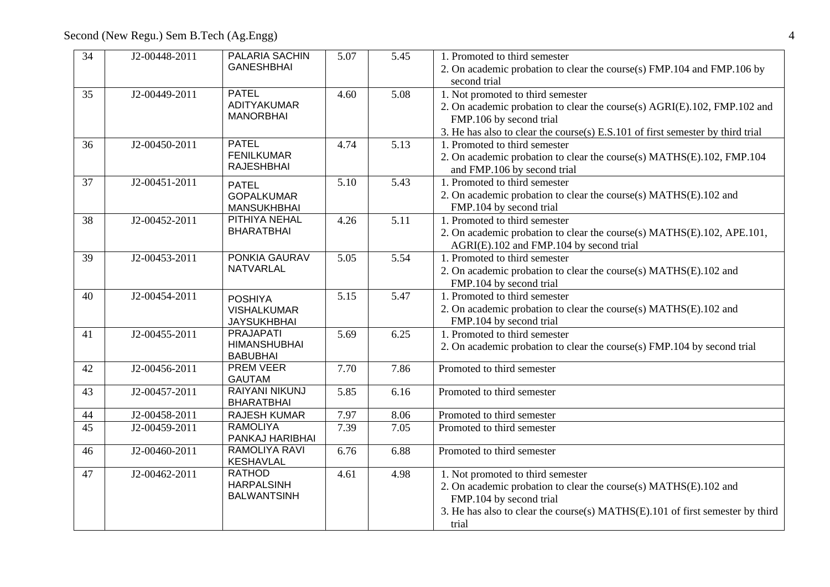| 34 | J2-00448-2011 | <b>PALARIA SACHIN</b>             | 5.07 | 5.45 | 1. Promoted to third semester                                                  |
|----|---------------|-----------------------------------|------|------|--------------------------------------------------------------------------------|
|    |               | <b>GANESHBHAI</b>                 |      |      | 2. On academic probation to clear the course(s) FMP.104 and FMP.106 by         |
|    |               |                                   |      |      | second trial                                                                   |
| 35 | J2-00449-2011 | <b>PATEL</b>                      | 4.60 | 5.08 | 1. Not promoted to third semester                                              |
|    |               | <b>ADITYAKUMAR</b>                |      |      | 2. On academic probation to clear the course(s) AGRI(E).102, FMP.102 and       |
|    |               | <b>MANORBHAI</b>                  |      |      | FMP.106 by second trial                                                        |
|    |               |                                   |      |      | 3. He has also to clear the course(s) E.S.101 of first semester by third trial |
| 36 | J2-00450-2011 | <b>PATEL</b>                      | 4.74 | 5.13 | 1. Promoted to third semester                                                  |
|    |               | <b>FENILKUMAR</b>                 |      |      | 2. On academic probation to clear the course(s) MATHS(E).102, FMP.104          |
|    |               | <b>RAJESHBHAI</b>                 |      |      | and FMP.106 by second trial                                                    |
| 37 | J2-00451-2011 | <b>PATEL</b>                      | 5.10 | 5.43 | 1. Promoted to third semester                                                  |
|    |               | <b>GOPALKUMAR</b>                 |      |      | 2. On academic probation to clear the course(s) MATHS(E).102 and               |
|    |               | <b>MANSUKHBHAI</b>                |      |      | FMP.104 by second trial                                                        |
| 38 | J2-00452-2011 | PITHIYA NEHAL                     | 4.26 | 5.11 | 1. Promoted to third semester                                                  |
|    |               | <b>BHARATBHAI</b>                 |      |      | 2. On academic probation to clear the course(s) MATHS(E).102, APE.101,         |
|    |               |                                   |      |      | AGRI(E).102 and FMP.104 by second trial                                        |
| 39 | J2-00453-2011 | PONKIA GAURAV                     | 5.05 | 5.54 | 1. Promoted to third semester                                                  |
|    |               | <b>NATVARLAL</b>                  |      |      | 2. On academic probation to clear the course(s) MATHS(E).102 and               |
|    |               |                                   |      |      | FMP.104 by second trial                                                        |
| 40 | J2-00454-2011 | <b>POSHIYA</b>                    | 5.15 | 5.47 | 1. Promoted to third semester                                                  |
|    |               | <b>VISHALKUMAR</b>                |      |      | 2. On academic probation to clear the course(s) MATHS(E).102 and               |
|    |               | <b>JAYSUKHBHAI</b>                |      |      | FMP.104 by second trial                                                        |
| 41 | J2-00455-2011 | <b>PRAJAPATI</b>                  | 5.69 | 6.25 | 1. Promoted to third semester                                                  |
|    |               | <b>HIMANSHUBHAI</b>               |      |      | 2. On academic probation to clear the course(s) FMP.104 by second trial        |
|    |               | <b>BABUBHAI</b>                   |      |      |                                                                                |
| 42 | J2-00456-2011 | <b>PREM VEER</b><br><b>GAUTAM</b> | 7.70 | 7.86 | Promoted to third semester                                                     |
| 43 | J2-00457-2011 | RAIYANI NIKUNJ                    | 5.85 | 6.16 | Promoted to third semester                                                     |
|    |               | <b>BHARATBHAI</b>                 |      |      |                                                                                |
| 44 | J2-00458-2011 | <b>RAJESH KUMAR</b>               | 7.97 | 8.06 | Promoted to third semester                                                     |
| 45 | J2-00459-2011 | <b>RAMOLIYA</b>                   | 7.39 | 7.05 | Promoted to third semester                                                     |
|    |               | PANKAJ HARIBHAI                   |      |      |                                                                                |
| 46 | J2-00460-2011 | <b>RAMOLIYA RAVI</b>              | 6.76 | 6.88 | Promoted to third semester                                                     |
|    |               | KESHAVLAL                         |      |      |                                                                                |
| 47 | J2-00462-2011 | <b>RATHOD</b>                     | 4.61 | 4.98 | 1. Not promoted to third semester                                              |
|    |               | <b>HARPALSINH</b>                 |      |      | 2. On academic probation to clear the course(s) MATHS(E).102 and               |
|    |               | <b>BALWANTSINH</b>                |      |      | FMP.104 by second trial                                                        |
|    |               |                                   |      |      | 3. He has also to clear the course(s) MATHS(E).101 of first semester by third  |
|    |               |                                   |      |      | trial                                                                          |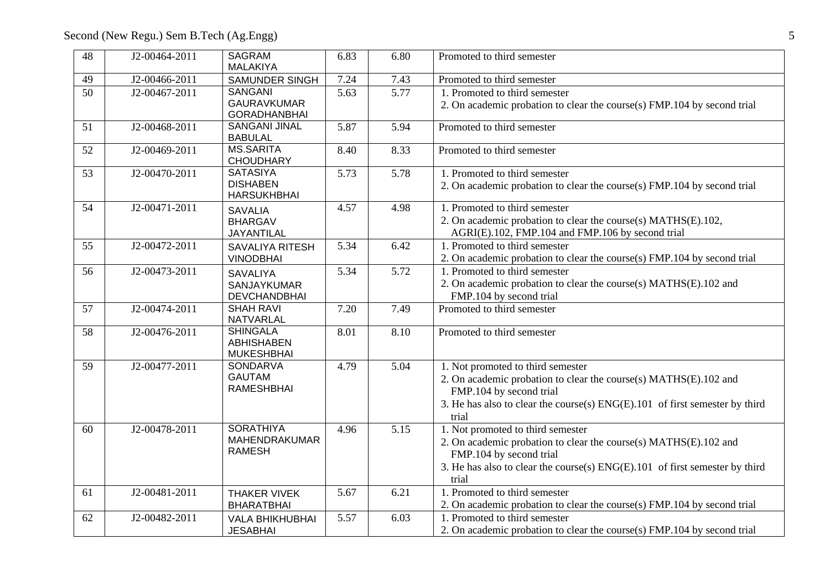| 48 | J2-00464-2011       | <b>SAGRAM</b><br><b>MALAKIYA</b>                          | 6.83 | 6.80 | Promoted to third semester                                                                                                                                                                                               |
|----|---------------------|-----------------------------------------------------------|------|------|--------------------------------------------------------------------------------------------------------------------------------------------------------------------------------------------------------------------------|
| 49 | J2-00466-2011       | <b>SAMUNDER SINGH</b>                                     | 7.24 | 7.43 | Promoted to third semester                                                                                                                                                                                               |
| 50 | J2-00467-2011       | SANGANI<br><b>GAURAVKUMAR</b><br><b>GORADHANBHAI</b>      | 5.63 | 5.77 | $\overline{1}$ . Promoted to third semester<br>2. On academic probation to clear the course(s) FMP.104 by second trial                                                                                                   |
| 51 | $J2 - 00468 - 2011$ | <b>SANGANI JINAL</b><br><b>BABULAL</b>                    | 5.87 | 5.94 | Promoted to third semester                                                                                                                                                                                               |
| 52 | J2-00469-2011       | <b>MS.SARITA</b><br><b>CHOUDHARY</b>                      | 8.40 | 8.33 | Promoted to third semester                                                                                                                                                                                               |
| 53 | J2-00470-2011       | <b>SATASIYA</b><br><b>DISHABEN</b><br><b>HARSUKHBHAI</b>  | 5.73 | 5.78 | 1. Promoted to third semester<br>2. On academic probation to clear the course(s) FMP.104 by second trial                                                                                                                 |
| 54 | J2-00471-2011       | <b>SAVALIA</b><br><b>BHARGAV</b><br>JAYANTILAL            | 4.57 | 4.98 | 1. Promoted to third semester<br>2. On academic probation to clear the course(s) MATHS(E).102,<br>AGRI(E).102, FMP.104 and FMP.106 by second trial                                                                       |
| 55 | J2-00472-2011       | <b>SAVALIYA RITESH</b><br><b>VINODBHAI</b>                | 5.34 | 6.42 | 1. Promoted to third semester<br>2. On academic probation to clear the course(s) FMP.104 by second trial                                                                                                                 |
| 56 | J2-00473-2011       | <b>SAVALIYA</b><br>SANJAYKUMAR<br><b>DEVCHANDBHAI</b>     | 5.34 | 5.72 | 1. Promoted to third semester<br>2. On academic probation to clear the course(s) MATHS(E).102 and<br>FMP.104 by second trial                                                                                             |
| 57 | J2-00474-2011       | <b>SHAH RAVI</b><br>NATVARLAL                             | 7.20 | 7.49 | Promoted to third semester                                                                                                                                                                                               |
| 58 | J2-00476-2011       | <b>SHINGALA</b><br><b>ABHISHABEN</b><br><b>MUKESHBHAI</b> | 8.01 | 8.10 | Promoted to third semester                                                                                                                                                                                               |
| 59 | J2-00477-2011       | <b>SONDARVA</b><br><b>GAUTAM</b><br><b>RAMESHBHAI</b>     | 4.79 | 5.04 | 1. Not promoted to third semester<br>2. On academic probation to clear the course(s) MATHS(E).102 and<br>FMP.104 by second trial<br>3. He has also to clear the course(s) ENG(E).101 of first semester by third<br>trial |
| 60 | J2-00478-2011       | <b>SORATHIYA</b><br>MAHENDRAKUMAR<br><b>RAMESH</b>        | 4.96 | 5.15 | 1. Not promoted to third semester<br>2. On academic probation to clear the course(s) MATHS(E).102 and<br>FMP.104 by second trial<br>3. He has also to clear the course(s) ENG(E).101 of first semester by third<br>trial |
| 61 | J2-00481-2011       | THAKER VIVEK<br><b>BHARATBHAI</b>                         | 5.67 | 6.21 | 1. Promoted to third semester<br>2. On academic probation to clear the course(s) FMP.104 by second trial                                                                                                                 |
| 62 | J2-00482-2011       | <b>VALA BHIKHUBHAI</b><br><b>JESABHAI</b>                 | 5.57 | 6.03 | 1. Promoted to third semester<br>2. On academic probation to clear the course(s) FMP.104 by second trial                                                                                                                 |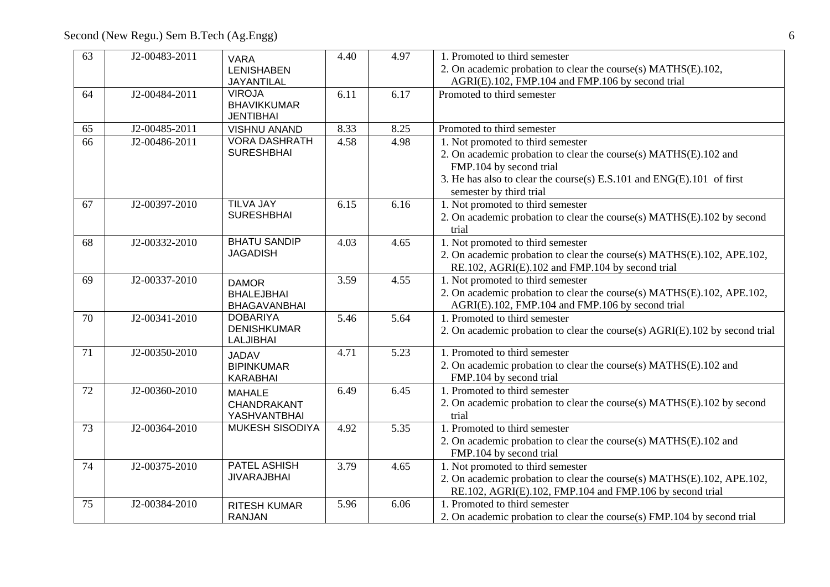| 2. On academic probation to clear the course(s) MATHS(E).102,<br><b>LENISHABEN</b><br>AGRI(E).102, FMP.104 and FMP.106 by second trial<br>JAYANTILAL<br>J2-00484-2011<br><b>VIROJA</b><br>6.11<br>6.17<br>Promoted to third semester<br>64<br><b>BHAVIKKUMAR</b><br><b>JENTIBHAI</b><br>$\overline{J2}$ -00485-2011<br>8.33<br>Promoted to third semester<br>65<br><b>VISHNU ANAND</b><br>8.25<br><b>VORA DASHRATH</b><br>J2-00486-2011<br>4.58<br>4.98<br>1. Not promoted to third semester<br>66<br><b>SURESHBHAI</b><br>2. On academic probation to clear the course(s) MATHS(E).102 and<br>FMP.104 by second trial<br>3. He has also to clear the course(s) E.S.101 and ENG(E).101 of first<br>semester by third trial<br><b>TILVA JAY</b><br>1. Not promoted to third semester<br>J2-00397-2010<br>6.15<br>6.16<br>67<br><b>SURESHBHAI</b><br>2. On academic probation to clear the course(s) MATHS(E).102 by second<br>trial<br><b>BHATU SANDIP</b><br>1. Not promoted to third semester<br>J2-00332-2010<br>4.03<br>4.65<br>68<br><b>JAGADISH</b><br>2. On academic probation to clear the course(s) MATHS(E).102, APE.102,<br>RE.102, AGRI(E).102 and FMP.104 by second trial<br>3.59<br>4.55<br>1. Not promoted to third semester<br>69<br>J2-00337-2010<br><b>DAMOR</b><br>2. On academic probation to clear the course(s) MATHS(E).102, APE.102,<br><b>BHALEJBHAI</b><br>AGRI(E).102, FMP.104 and FMP.106 by second trial<br><b>BHAGAVANBHAI</b><br><b>DOBARIYA</b><br>5.46<br>5.64<br>1. Promoted to third semester<br>70<br>J2-00341-2010<br><b>DENISHKUMAR</b><br>2. On academic probation to clear the course(s) AGRI(E).102 by second trial<br><b>LALJIBHAI</b><br>4.71<br>5.23<br>1. Promoted to third semester<br>71<br>J2-00350-2010<br><b>JADAV</b><br>2. On academic probation to clear the course(s) MATHS(E).102 and<br><b>BIPINKUMAR</b><br>FMP.104 by second trial<br><b>KARABHAI</b><br>$\overline{72}$<br>6.49<br>6.45<br>J2-00360-2010<br>1. Promoted to third semester<br><b>MAHALE</b><br>2. On academic probation to clear the course(s) MATHS(E).102 by second<br>CHANDRAKANT<br>trial<br>YASHVANTBHAI<br><b>MUKESH SISODIYA</b><br>73<br>5.35<br>1. Promoted to third semester<br>J2-00364-2010<br>4.92<br>2. On academic probation to clear the course(s) MATHS(E).102 and<br>FMP.104 by second trial<br><b>PATEL ASHISH</b><br>74<br>1. Not promoted to third semester<br>J2-00375-2010<br>3.79<br>4.65<br><b>JIVARAJBHAI</b><br>2. On academic probation to clear the course(s) MATHS(E).102, APE.102, | 63 | J2-00483-2011 | <b>VARA</b> | 4.40 | 4.97 | 1. Promoted to third semester                            |
|--------------------------------------------------------------------------------------------------------------------------------------------------------------------------------------------------------------------------------------------------------------------------------------------------------------------------------------------------------------------------------------------------------------------------------------------------------------------------------------------------------------------------------------------------------------------------------------------------------------------------------------------------------------------------------------------------------------------------------------------------------------------------------------------------------------------------------------------------------------------------------------------------------------------------------------------------------------------------------------------------------------------------------------------------------------------------------------------------------------------------------------------------------------------------------------------------------------------------------------------------------------------------------------------------------------------------------------------------------------------------------------------------------------------------------------------------------------------------------------------------------------------------------------------------------------------------------------------------------------------------------------------------------------------------------------------------------------------------------------------------------------------------------------------------------------------------------------------------------------------------------------------------------------------------------------------------------------------------------------------------------------------------------------------------------------------------------------------------------------------------------------------------------------------------------------------------------------------------------------------------------------------------------------------------------------------------------------------------------------------------------------------------------------------------------------------------------------------------------------------------------------------------------------------|----|---------------|-------------|------|------|----------------------------------------------------------|
|                                                                                                                                                                                                                                                                                                                                                                                                                                                                                                                                                                                                                                                                                                                                                                                                                                                                                                                                                                                                                                                                                                                                                                                                                                                                                                                                                                                                                                                                                                                                                                                                                                                                                                                                                                                                                                                                                                                                                                                                                                                                                                                                                                                                                                                                                                                                                                                                                                                                                                                                            |    |               |             |      |      |                                                          |
|                                                                                                                                                                                                                                                                                                                                                                                                                                                                                                                                                                                                                                                                                                                                                                                                                                                                                                                                                                                                                                                                                                                                                                                                                                                                                                                                                                                                                                                                                                                                                                                                                                                                                                                                                                                                                                                                                                                                                                                                                                                                                                                                                                                                                                                                                                                                                                                                                                                                                                                                            |    |               |             |      |      |                                                          |
|                                                                                                                                                                                                                                                                                                                                                                                                                                                                                                                                                                                                                                                                                                                                                                                                                                                                                                                                                                                                                                                                                                                                                                                                                                                                                                                                                                                                                                                                                                                                                                                                                                                                                                                                                                                                                                                                                                                                                                                                                                                                                                                                                                                                                                                                                                                                                                                                                                                                                                                                            |    |               |             |      |      |                                                          |
|                                                                                                                                                                                                                                                                                                                                                                                                                                                                                                                                                                                                                                                                                                                                                                                                                                                                                                                                                                                                                                                                                                                                                                                                                                                                                                                                                                                                                                                                                                                                                                                                                                                                                                                                                                                                                                                                                                                                                                                                                                                                                                                                                                                                                                                                                                                                                                                                                                                                                                                                            |    |               |             |      |      |                                                          |
|                                                                                                                                                                                                                                                                                                                                                                                                                                                                                                                                                                                                                                                                                                                                                                                                                                                                                                                                                                                                                                                                                                                                                                                                                                                                                                                                                                                                                                                                                                                                                                                                                                                                                                                                                                                                                                                                                                                                                                                                                                                                                                                                                                                                                                                                                                                                                                                                                                                                                                                                            |    |               |             |      |      |                                                          |
|                                                                                                                                                                                                                                                                                                                                                                                                                                                                                                                                                                                                                                                                                                                                                                                                                                                                                                                                                                                                                                                                                                                                                                                                                                                                                                                                                                                                                                                                                                                                                                                                                                                                                                                                                                                                                                                                                                                                                                                                                                                                                                                                                                                                                                                                                                                                                                                                                                                                                                                                            |    |               |             |      |      |                                                          |
|                                                                                                                                                                                                                                                                                                                                                                                                                                                                                                                                                                                                                                                                                                                                                                                                                                                                                                                                                                                                                                                                                                                                                                                                                                                                                                                                                                                                                                                                                                                                                                                                                                                                                                                                                                                                                                                                                                                                                                                                                                                                                                                                                                                                                                                                                                                                                                                                                                                                                                                                            |    |               |             |      |      |                                                          |
|                                                                                                                                                                                                                                                                                                                                                                                                                                                                                                                                                                                                                                                                                                                                                                                                                                                                                                                                                                                                                                                                                                                                                                                                                                                                                                                                                                                                                                                                                                                                                                                                                                                                                                                                                                                                                                                                                                                                                                                                                                                                                                                                                                                                                                                                                                                                                                                                                                                                                                                                            |    |               |             |      |      |                                                          |
|                                                                                                                                                                                                                                                                                                                                                                                                                                                                                                                                                                                                                                                                                                                                                                                                                                                                                                                                                                                                                                                                                                                                                                                                                                                                                                                                                                                                                                                                                                                                                                                                                                                                                                                                                                                                                                                                                                                                                                                                                                                                                                                                                                                                                                                                                                                                                                                                                                                                                                                                            |    |               |             |      |      |                                                          |
|                                                                                                                                                                                                                                                                                                                                                                                                                                                                                                                                                                                                                                                                                                                                                                                                                                                                                                                                                                                                                                                                                                                                                                                                                                                                                                                                                                                                                                                                                                                                                                                                                                                                                                                                                                                                                                                                                                                                                                                                                                                                                                                                                                                                                                                                                                                                                                                                                                                                                                                                            |    |               |             |      |      |                                                          |
|                                                                                                                                                                                                                                                                                                                                                                                                                                                                                                                                                                                                                                                                                                                                                                                                                                                                                                                                                                                                                                                                                                                                                                                                                                                                                                                                                                                                                                                                                                                                                                                                                                                                                                                                                                                                                                                                                                                                                                                                                                                                                                                                                                                                                                                                                                                                                                                                                                                                                                                                            |    |               |             |      |      |                                                          |
|                                                                                                                                                                                                                                                                                                                                                                                                                                                                                                                                                                                                                                                                                                                                                                                                                                                                                                                                                                                                                                                                                                                                                                                                                                                                                                                                                                                                                                                                                                                                                                                                                                                                                                                                                                                                                                                                                                                                                                                                                                                                                                                                                                                                                                                                                                                                                                                                                                                                                                                                            |    |               |             |      |      |                                                          |
|                                                                                                                                                                                                                                                                                                                                                                                                                                                                                                                                                                                                                                                                                                                                                                                                                                                                                                                                                                                                                                                                                                                                                                                                                                                                                                                                                                                                                                                                                                                                                                                                                                                                                                                                                                                                                                                                                                                                                                                                                                                                                                                                                                                                                                                                                                                                                                                                                                                                                                                                            |    |               |             |      |      |                                                          |
|                                                                                                                                                                                                                                                                                                                                                                                                                                                                                                                                                                                                                                                                                                                                                                                                                                                                                                                                                                                                                                                                                                                                                                                                                                                                                                                                                                                                                                                                                                                                                                                                                                                                                                                                                                                                                                                                                                                                                                                                                                                                                                                                                                                                                                                                                                                                                                                                                                                                                                                                            |    |               |             |      |      |                                                          |
|                                                                                                                                                                                                                                                                                                                                                                                                                                                                                                                                                                                                                                                                                                                                                                                                                                                                                                                                                                                                                                                                                                                                                                                                                                                                                                                                                                                                                                                                                                                                                                                                                                                                                                                                                                                                                                                                                                                                                                                                                                                                                                                                                                                                                                                                                                                                                                                                                                                                                                                                            |    |               |             |      |      |                                                          |
|                                                                                                                                                                                                                                                                                                                                                                                                                                                                                                                                                                                                                                                                                                                                                                                                                                                                                                                                                                                                                                                                                                                                                                                                                                                                                                                                                                                                                                                                                                                                                                                                                                                                                                                                                                                                                                                                                                                                                                                                                                                                                                                                                                                                                                                                                                                                                                                                                                                                                                                                            |    |               |             |      |      |                                                          |
|                                                                                                                                                                                                                                                                                                                                                                                                                                                                                                                                                                                                                                                                                                                                                                                                                                                                                                                                                                                                                                                                                                                                                                                                                                                                                                                                                                                                                                                                                                                                                                                                                                                                                                                                                                                                                                                                                                                                                                                                                                                                                                                                                                                                                                                                                                                                                                                                                                                                                                                                            |    |               |             |      |      |                                                          |
|                                                                                                                                                                                                                                                                                                                                                                                                                                                                                                                                                                                                                                                                                                                                                                                                                                                                                                                                                                                                                                                                                                                                                                                                                                                                                                                                                                                                                                                                                                                                                                                                                                                                                                                                                                                                                                                                                                                                                                                                                                                                                                                                                                                                                                                                                                                                                                                                                                                                                                                                            |    |               |             |      |      |                                                          |
|                                                                                                                                                                                                                                                                                                                                                                                                                                                                                                                                                                                                                                                                                                                                                                                                                                                                                                                                                                                                                                                                                                                                                                                                                                                                                                                                                                                                                                                                                                                                                                                                                                                                                                                                                                                                                                                                                                                                                                                                                                                                                                                                                                                                                                                                                                                                                                                                                                                                                                                                            |    |               |             |      |      |                                                          |
|                                                                                                                                                                                                                                                                                                                                                                                                                                                                                                                                                                                                                                                                                                                                                                                                                                                                                                                                                                                                                                                                                                                                                                                                                                                                                                                                                                                                                                                                                                                                                                                                                                                                                                                                                                                                                                                                                                                                                                                                                                                                                                                                                                                                                                                                                                                                                                                                                                                                                                                                            |    |               |             |      |      |                                                          |
|                                                                                                                                                                                                                                                                                                                                                                                                                                                                                                                                                                                                                                                                                                                                                                                                                                                                                                                                                                                                                                                                                                                                                                                                                                                                                                                                                                                                                                                                                                                                                                                                                                                                                                                                                                                                                                                                                                                                                                                                                                                                                                                                                                                                                                                                                                                                                                                                                                                                                                                                            |    |               |             |      |      |                                                          |
|                                                                                                                                                                                                                                                                                                                                                                                                                                                                                                                                                                                                                                                                                                                                                                                                                                                                                                                                                                                                                                                                                                                                                                                                                                                                                                                                                                                                                                                                                                                                                                                                                                                                                                                                                                                                                                                                                                                                                                                                                                                                                                                                                                                                                                                                                                                                                                                                                                                                                                                                            |    |               |             |      |      |                                                          |
|                                                                                                                                                                                                                                                                                                                                                                                                                                                                                                                                                                                                                                                                                                                                                                                                                                                                                                                                                                                                                                                                                                                                                                                                                                                                                                                                                                                                                                                                                                                                                                                                                                                                                                                                                                                                                                                                                                                                                                                                                                                                                                                                                                                                                                                                                                                                                                                                                                                                                                                                            |    |               |             |      |      |                                                          |
|                                                                                                                                                                                                                                                                                                                                                                                                                                                                                                                                                                                                                                                                                                                                                                                                                                                                                                                                                                                                                                                                                                                                                                                                                                                                                                                                                                                                                                                                                                                                                                                                                                                                                                                                                                                                                                                                                                                                                                                                                                                                                                                                                                                                                                                                                                                                                                                                                                                                                                                                            |    |               |             |      |      |                                                          |
|                                                                                                                                                                                                                                                                                                                                                                                                                                                                                                                                                                                                                                                                                                                                                                                                                                                                                                                                                                                                                                                                                                                                                                                                                                                                                                                                                                                                                                                                                                                                                                                                                                                                                                                                                                                                                                                                                                                                                                                                                                                                                                                                                                                                                                                                                                                                                                                                                                                                                                                                            |    |               |             |      |      |                                                          |
|                                                                                                                                                                                                                                                                                                                                                                                                                                                                                                                                                                                                                                                                                                                                                                                                                                                                                                                                                                                                                                                                                                                                                                                                                                                                                                                                                                                                                                                                                                                                                                                                                                                                                                                                                                                                                                                                                                                                                                                                                                                                                                                                                                                                                                                                                                                                                                                                                                                                                                                                            |    |               |             |      |      |                                                          |
|                                                                                                                                                                                                                                                                                                                                                                                                                                                                                                                                                                                                                                                                                                                                                                                                                                                                                                                                                                                                                                                                                                                                                                                                                                                                                                                                                                                                                                                                                                                                                                                                                                                                                                                                                                                                                                                                                                                                                                                                                                                                                                                                                                                                                                                                                                                                                                                                                                                                                                                                            |    |               |             |      |      |                                                          |
|                                                                                                                                                                                                                                                                                                                                                                                                                                                                                                                                                                                                                                                                                                                                                                                                                                                                                                                                                                                                                                                                                                                                                                                                                                                                                                                                                                                                                                                                                                                                                                                                                                                                                                                                                                                                                                                                                                                                                                                                                                                                                                                                                                                                                                                                                                                                                                                                                                                                                                                                            |    |               |             |      |      |                                                          |
|                                                                                                                                                                                                                                                                                                                                                                                                                                                                                                                                                                                                                                                                                                                                                                                                                                                                                                                                                                                                                                                                                                                                                                                                                                                                                                                                                                                                                                                                                                                                                                                                                                                                                                                                                                                                                                                                                                                                                                                                                                                                                                                                                                                                                                                                                                                                                                                                                                                                                                                                            |    |               |             |      |      |                                                          |
|                                                                                                                                                                                                                                                                                                                                                                                                                                                                                                                                                                                                                                                                                                                                                                                                                                                                                                                                                                                                                                                                                                                                                                                                                                                                                                                                                                                                                                                                                                                                                                                                                                                                                                                                                                                                                                                                                                                                                                                                                                                                                                                                                                                                                                                                                                                                                                                                                                                                                                                                            |    |               |             |      |      |                                                          |
|                                                                                                                                                                                                                                                                                                                                                                                                                                                                                                                                                                                                                                                                                                                                                                                                                                                                                                                                                                                                                                                                                                                                                                                                                                                                                                                                                                                                                                                                                                                                                                                                                                                                                                                                                                                                                                                                                                                                                                                                                                                                                                                                                                                                                                                                                                                                                                                                                                                                                                                                            |    |               |             |      |      |                                                          |
|                                                                                                                                                                                                                                                                                                                                                                                                                                                                                                                                                                                                                                                                                                                                                                                                                                                                                                                                                                                                                                                                                                                                                                                                                                                                                                                                                                                                                                                                                                                                                                                                                                                                                                                                                                                                                                                                                                                                                                                                                                                                                                                                                                                                                                                                                                                                                                                                                                                                                                                                            |    |               |             |      |      |                                                          |
|                                                                                                                                                                                                                                                                                                                                                                                                                                                                                                                                                                                                                                                                                                                                                                                                                                                                                                                                                                                                                                                                                                                                                                                                                                                                                                                                                                                                                                                                                                                                                                                                                                                                                                                                                                                                                                                                                                                                                                                                                                                                                                                                                                                                                                                                                                                                                                                                                                                                                                                                            |    |               |             |      |      | RE.102, AGRI(E).102, FMP.104 and FMP.106 by second trial |
| 75<br>J2-00384-2010<br>5.96<br>6.06<br>1. Promoted to third semester<br><b>RITESH KUMAR</b>                                                                                                                                                                                                                                                                                                                                                                                                                                                                                                                                                                                                                                                                                                                                                                                                                                                                                                                                                                                                                                                                                                                                                                                                                                                                                                                                                                                                                                                                                                                                                                                                                                                                                                                                                                                                                                                                                                                                                                                                                                                                                                                                                                                                                                                                                                                                                                                                                                                |    |               |             |      |      |                                                          |
| 2. On academic probation to clear the course(s) FMP.104 by second trial<br><b>RANJAN</b>                                                                                                                                                                                                                                                                                                                                                                                                                                                                                                                                                                                                                                                                                                                                                                                                                                                                                                                                                                                                                                                                                                                                                                                                                                                                                                                                                                                                                                                                                                                                                                                                                                                                                                                                                                                                                                                                                                                                                                                                                                                                                                                                                                                                                                                                                                                                                                                                                                                   |    |               |             |      |      |                                                          |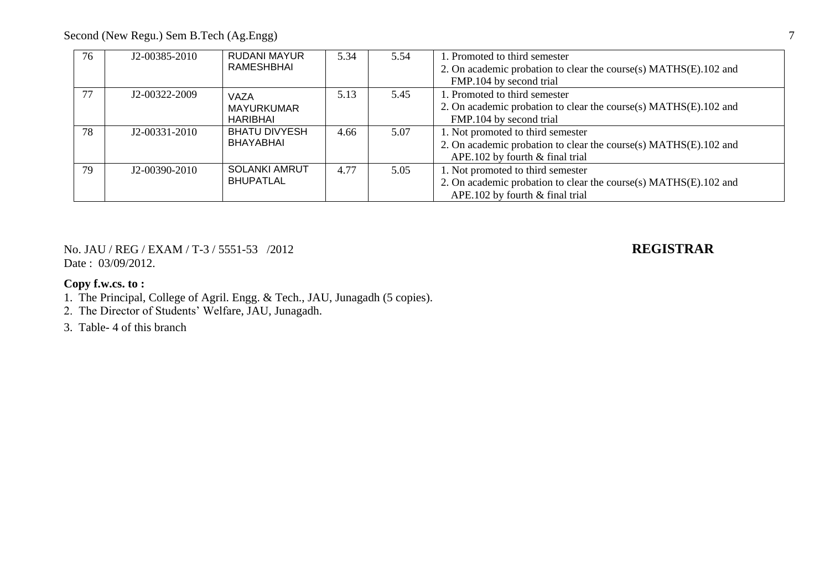| 76 | J2-00385-2010 | <b>RUDANI MAYUR</b><br>RAMESHBHAI                   | 5.34 | 5.54 | 1. Promoted to third semester<br>2. On academic probation to clear the course(s) MATHS(E).102 and<br>FMP.104 by second trial               |
|----|---------------|-----------------------------------------------------|------|------|--------------------------------------------------------------------------------------------------------------------------------------------|
| 77 | J2-00322-2009 | <b>VAZA</b><br><b>MAYURKUMAR</b><br><b>HARIBHAI</b> | 5.13 | 5.45 | 1. Promoted to third semester<br>2. On academic probation to clear the course(s) MATHS(E).102 and<br>FMP.104 by second trial               |
| 78 | J2-00331-2010 | <b>BHATU DIVYESH</b><br><b>BHAYABHAI</b>            | 4.66 | 5.07 | 1. Not promoted to third semester<br>2. On academic probation to clear the course(s) MATHS(E).102 and<br>APE.102 by fourth $&$ final trial |
| 79 | J2-00390-2010 | <b>SOLANKI AMRUT</b><br><b>BHUPATLAL</b>            | 4.77 | 5.05 | 1. Not promoted to third semester<br>2. On academic probation to clear the course(s) MATHS(E).102 and<br>APE.102 by fourth & final trial   |

No. JAU / REG / EXAM / T-3 / 5551-53 /2012 **REGISTRAR** Date: 03/09/2012.

- 1. The Principal, College of Agril. Engg. & Tech., JAU, Junagadh (5 copies).
- 2. The Director of Students' Welfare, JAU, Junagadh.
- 3. Table- 4 of this branch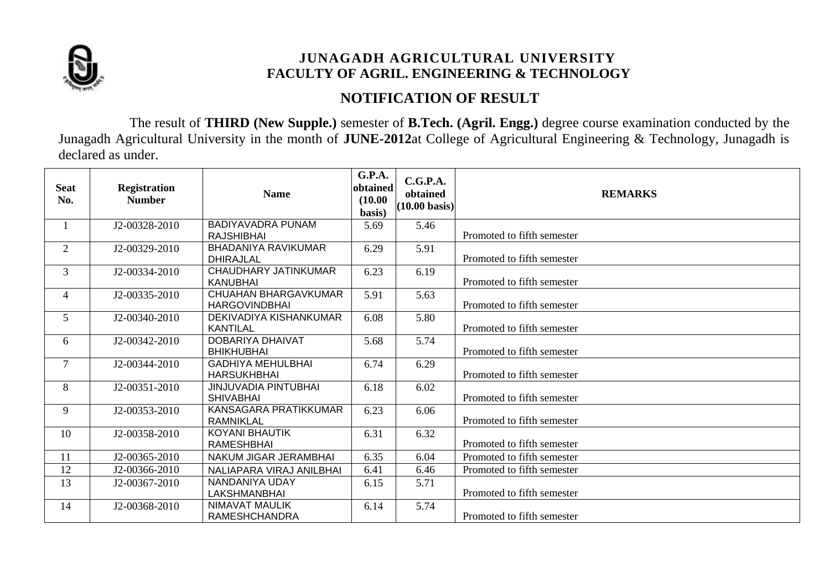

# **NOTIFICATION OF RESULT**

The result of **THIRD (New Supple.)** semester of **B.Tech. (Agril. Engg.)** degree course examination conducted by the Junagadh Agricultural University in the month of **JUNE-2012**at College of Agricultural Engineering & Technology, Junagadh is declared as under.

| <b>Seat</b><br>No. | <b>Registration</b><br><b>Number</b> | <b>Name</b>                                     | <b>G.P.A.</b><br>obtained<br>(10.00)<br>basis) | C.G.P.A.<br>obtained<br>$(10.00 \text{ basis})$ | <b>REMARKS</b>             |
|--------------------|--------------------------------------|-------------------------------------------------|------------------------------------------------|-------------------------------------------------|----------------------------|
|                    | J2-00328-2010                        | <b>BADIYAVADRA PUNAM</b><br><b>RAJSHIBHAI</b>   | 5.69                                           | 5.46                                            | Promoted to fifth semester |
| $\overline{2}$     | J2-00329-2010                        | <b>BHADANIYA RAVIKUMAR</b><br><b>DHIRAJLAL</b>  | 6.29                                           | 5.91                                            | Promoted to fifth semester |
| 3                  | J2-00334-2010                        | CHAUDHARY JATINKUMAR<br><b>KANUBHAI</b>         | 6.23                                           | 6.19                                            | Promoted to fifth semester |
| 4                  | J2-00335-2010                        | CHUAHAN BHARGAVKUMAR<br><b>HARGOVINDBHAI</b>    | 5.91                                           | 5.63                                            | Promoted to fifth semester |
| 5                  | J2-00340-2010                        | DEKIVADIYA KISHANKUMAR<br><b>KANTILAL</b>       | 6.08                                           | 5.80                                            | Promoted to fifth semester |
| 6                  | J2-00342-2010                        | DOBARIYA DHAIVAT<br><b>BHIKHUBHAI</b>           | 5.68                                           | 5.74                                            | Promoted to fifth semester |
| $\overline{7}$     | J2-00344-2010                        | <b>GADHIYA MEHULBHAI</b><br><b>HARSUKHBHAI</b>  | 6.74                                           | 6.29                                            | Promoted to fifth semester |
| 8                  | J2-00351-2010                        | <b>JINJUVADIA PINTUBHAI</b><br><b>SHIVABHAI</b> | 6.18                                           | 6.02                                            | Promoted to fifth semester |
| 9                  | J2-00353-2010                        | KANSAGARA PRATIKKUMAR<br><b>RAMNIKLAL</b>       | 6.23                                           | 6.06                                            | Promoted to fifth semester |
| 10                 | J2-00358-2010                        | <b>KOYANI BHAUTIK</b><br><b>RAMESHBHAI</b>      | 6.31                                           | 6.32                                            | Promoted to fifth semester |
| 11                 | J2-00365-2010                        | NAKUM JIGAR JERAMBHAI                           | 6.35                                           | 6.04                                            | Promoted to fifth semester |
| 12                 | J2-00366-2010                        | NALIAPARA VIRAJ ANILBHAI                        | 6.41                                           | 6.46                                            | Promoted to fifth semester |
| 13                 | J2-00367-2010                        | NANDANIYA UDAY<br>LAKSHMANBHAI                  | 6.15                                           | 5.71                                            | Promoted to fifth semester |
| 14                 | J2-00368-2010                        | NIMAVAT MAULIK<br><b>RAMESHCHANDRA</b>          | 6.14                                           | 5.74                                            | Promoted to fifth semester |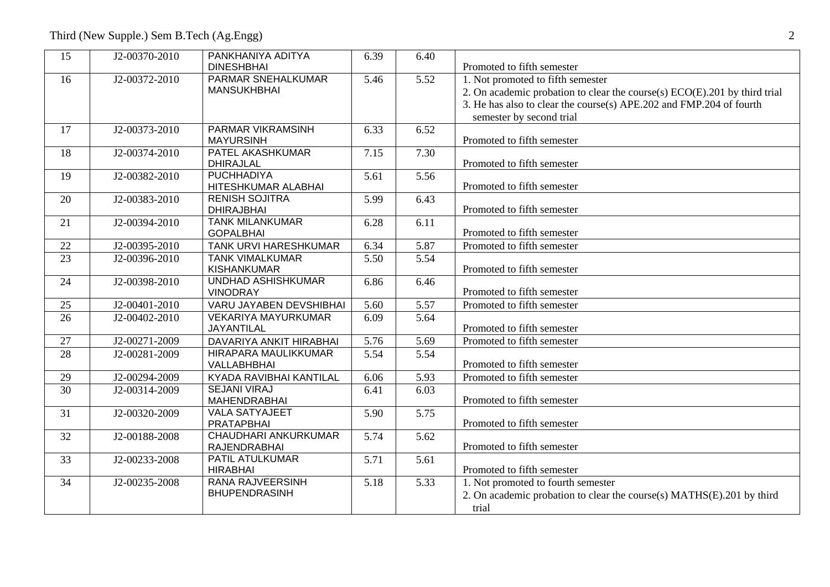| 15              | J2-00370-2010 | PANKHANIYA ADITYA                            | 6.39 | 6.40              |                                                                           |
|-----------------|---------------|----------------------------------------------|------|-------------------|---------------------------------------------------------------------------|
|                 |               | <b>DINESHBHAI</b>                            |      |                   | Promoted to fifth semester                                                |
| 16              | J2-00372-2010 | PARMAR SNEHALKUMAR<br><b>MANSUKHBHAI</b>     | 5.46 | $\overline{5.52}$ | 1. Not promoted to fifth semester                                         |
|                 |               |                                              |      |                   | 2. On academic probation to clear the course(s) ECO(E).201 by third trial |
|                 |               |                                              |      |                   | 3. He has also to clear the course(s) APE.202 and FMP.204 of fourth       |
|                 |               |                                              |      |                   | semester by second trial                                                  |
| 17              | J2-00373-2010 | <b>PARMAR VIKRAMSINH</b><br><b>MAYURSINH</b> | 6.33 | 6.52              | Promoted to fifth semester                                                |
| 18              | J2-00374-2010 | PATEL AKASHKUMAR                             | 7.15 | 7.30              |                                                                           |
|                 |               | <b>DHIRAJLAL</b>                             |      |                   | Promoted to fifth semester                                                |
| 19              | J2-00382-2010 | <b>PUCHHADIYA</b>                            | 5.61 | 5.56              |                                                                           |
|                 |               | HITESHKUMAR ALABHAI                          |      |                   | Promoted to fifth semester                                                |
| 20              | J2-00383-2010 | <b>RENISH SOJITRA</b>                        | 5.99 | 6.43              |                                                                           |
|                 |               | <b>DHIRAJBHAI</b>                            |      |                   | Promoted to fifth semester                                                |
| 21              | J2-00394-2010 | <b>TANK MILANKUMAR</b>                       | 6.28 | 6.11              |                                                                           |
|                 |               | <b>GOPALBHAI</b>                             |      |                   | Promoted to fifth semester                                                |
| 22              | J2-00395-2010 | TANK URVI HARESHKUMAR                        | 6.34 | 5.87              | Promoted to fifth semester                                                |
| 23              | J2-00396-2010 | <b>TANK VIMALKUMAR</b>                       | 5.50 | 5.54              |                                                                           |
|                 |               | <b>KISHANKUMAR</b>                           |      |                   | Promoted to fifth semester                                                |
| 24              | J2-00398-2010 | UNDHAD ASHISHKUMAR<br><b>VINODRAY</b>        | 6.86 | 6.46              | Promoted to fifth semester                                                |
| 25              | J2-00401-2010 | VARU JAYABEN DEVSHIBHAI                      | 5.60 | 5.57              | Promoted to fifth semester                                                |
| 26              | J2-00402-2010 | <b>VEKARIYA MAYURKUMAR</b>                   | 6.09 | 5.64              |                                                                           |
|                 |               | JAYANTILAL                                   |      |                   | Promoted to fifth semester                                                |
| $\overline{27}$ | J2-00271-2009 | DAVARIYA ANKIT HIRABHAI                      | 5.76 | 5.69              | Promoted to fifth semester                                                |
| $\overline{28}$ | J2-00281-2009 | HIRAPARA MAULIKKUMAR                         | 5.54 | 5.54              |                                                                           |
|                 |               | VALLABHBHAI                                  |      |                   | Promoted to fifth semester                                                |
| 29              | J2-00294-2009 | KYADA RAVIBHAI KANTILAL                      | 6.06 | 5.93              | Promoted to fifth semester                                                |
| $\overline{30}$ | J2-00314-2009 | <b>SEJANI VIRAJ</b>                          | 6.41 | 6.03              |                                                                           |
|                 |               | <b>MAHENDRABHAI</b>                          |      |                   | Promoted to fifth semester                                                |
| 31              | J2-00320-2009 | <b>VALA SATYAJEET</b>                        | 5.90 | 5.75              |                                                                           |
|                 |               | <b>PRATAPBHAI</b>                            |      |                   | Promoted to fifth semester                                                |
| 32              | J2-00188-2008 | <b>CHAUDHARI ANKURKUMAR</b>                  | 5.74 | 5.62              |                                                                           |
|                 |               | <b>RAJENDRABHAI</b>                          |      |                   | Promoted to fifth semester                                                |
| 33              | J2-00233-2008 | PATIL ATULKUMAR                              | 5.71 | 5.61              |                                                                           |
|                 |               | <b>HIRABHAI</b>                              |      |                   | Promoted to fifth semester                                                |
| 34              | J2-00235-2008 | <b>RANA RAJVEERSINH</b>                      | 5.18 | 5.33              | 1. Not promoted to fourth semester                                        |
|                 |               | <b>BHUPENDRASINH</b>                         |      |                   | 2. On academic probation to clear the course(s) MATHS(E).201 by third     |
|                 |               |                                              |      |                   | trial                                                                     |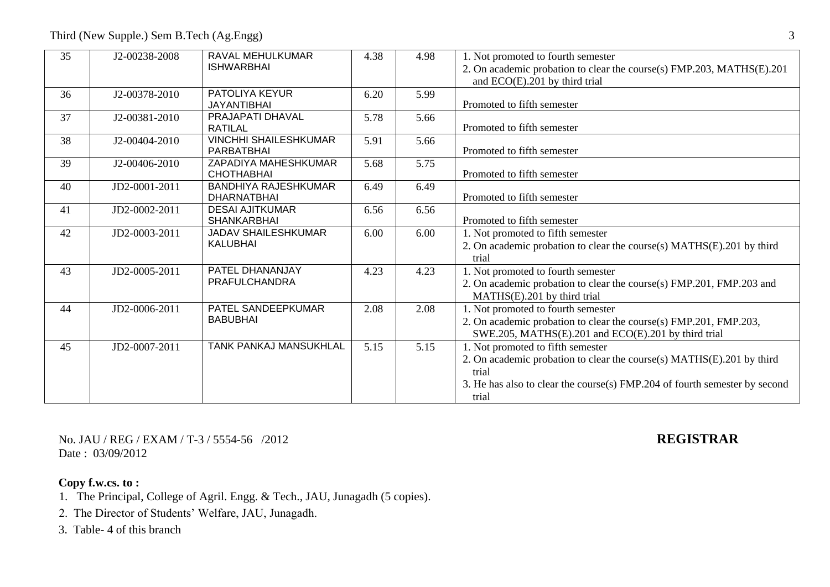| 35 | J2-00238-2008 | <b>RAVAL MEHULKUMAR</b><br><b>ISHWARBHAI</b>      | 4.38 | 4.98 | 1. Not promoted to fourth semester<br>2. On academic probation to clear the course(s) FMP.203, MATHS(E).201<br>and ECO(E).201 by third trial                                                               |
|----|---------------|---------------------------------------------------|------|------|------------------------------------------------------------------------------------------------------------------------------------------------------------------------------------------------------------|
| 36 | J2-00378-2010 | PATOLIYA KEYUR<br><b>JAYANTIBHAI</b>              | 6.20 | 5.99 | Promoted to fifth semester                                                                                                                                                                                 |
| 37 | J2-00381-2010 | PRAJAPATI DHAVAL<br><b>RATILAL</b>                | 5.78 | 5.66 | Promoted to fifth semester                                                                                                                                                                                 |
| 38 | J2-00404-2010 | <b>VINCHHI SHAILESHKUMAR</b><br>PARBATBHAI        | 5.91 | 5.66 | Promoted to fifth semester                                                                                                                                                                                 |
| 39 | J2-00406-2010 | ZAPADIYA MAHESHKUMAR<br><b>CHOTHABHAI</b>         | 5.68 | 5.75 | Promoted to fifth semester                                                                                                                                                                                 |
| 40 | JD2-0001-2011 | <b>BANDHIYA RAJESHKUMAR</b><br><b>DHARNATBHAI</b> | 6.49 | 6.49 | Promoted to fifth semester                                                                                                                                                                                 |
| 41 | JD2-0002-2011 | <b>DESAI AJITKUMAR</b><br><b>SHANKARBHAI</b>      | 6.56 | 6.56 | Promoted to fifth semester                                                                                                                                                                                 |
| 42 | JD2-0003-2011 | <b>JADAV SHAILESHKUMAR</b><br><b>KALUBHAI</b>     | 6.00 | 6.00 | 1. Not promoted to fifth semester<br>2. On academic probation to clear the course(s) MATHS(E).201 by third<br>trial                                                                                        |
| 43 | JD2-0005-2011 | PATEL DHANANJAY<br>PRAFULCHANDRA                  | 4.23 | 4.23 | 1. Not promoted to fourth semester<br>2. On academic probation to clear the course(s) FMP.201, FMP.203 and<br>MATHS(E).201 by third trial                                                                  |
| 44 | JD2-0006-2011 | PATEL SANDEEPKUMAR<br><b>BABUBHAI</b>             | 2.08 | 2.08 | 1. Not promoted to fourth semester<br>2. On academic probation to clear the course(s) FMP.201, FMP.203,<br>SWE.205, MATHS(E).201 and ECO(E).201 by third trial                                             |
| 45 | JD2-0007-2011 | TANK PANKAJ MANSUKHLAL                            | 5.15 | 5.15 | 1. Not promoted to fifth semester<br>2. On academic probation to clear the course(s) MATHS(E).201 by third<br>trial<br>3. He has also to clear the course(s) FMP.204 of fourth semester by second<br>trial |

No. JAU / REG / EXAM / T-3 / 5554-56 /2012 **REGISTRAR** Date : 03/09/2012

- 1. The Principal, College of Agril. Engg. & Tech., JAU, Junagadh (5 copies).
- 2. The Director of Students' Welfare, JAU, Junagadh.
- 3. Table- 4 of this branch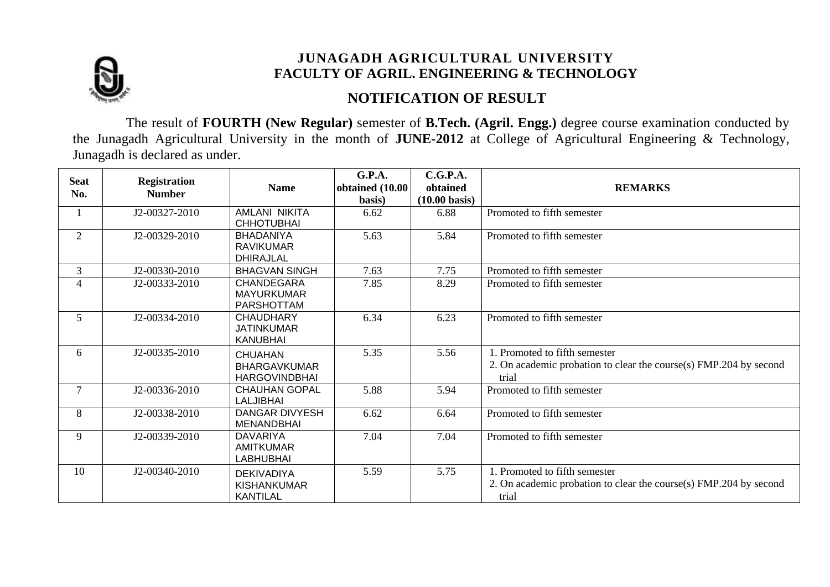

## **NOTIFICATION OF RESULT**

The result of **FOURTH (New Regular)** semester of **B.Tech. (Agril. Engg.)** degree course examination conducted by the Junagadh Agricultural University in the month of **JUNE-2012** at College of Agricultural Engineering & Technology, Junagadh is declared as under.

| <b>Seat</b><br>No. | <b>Registration</b><br><b>Number</b> | <b>Name</b>                                                   | G.P.A.<br>obtained (10.00 | C.G.P.A.<br>obtained    | <b>REMARKS</b>                                                                                              |
|--------------------|--------------------------------------|---------------------------------------------------------------|---------------------------|-------------------------|-------------------------------------------------------------------------------------------------------------|
|                    |                                      |                                                               | basis)                    | $(10.00 \text{ basis})$ |                                                                                                             |
|                    | J2-00327-2010                        | AMLANI NIKITA<br><b>CHHOTUBHAI</b>                            | 6.62                      | 6.88                    | Promoted to fifth semester                                                                                  |
| $\overline{2}$     | J2-00329-2010                        | <b>BHADANIYA</b><br><b>RAVIKUMAR</b><br><b>DHIRAJLAL</b>      | 5.63                      | 5.84                    | Promoted to fifth semester                                                                                  |
| $\overline{3}$     | J2-00330-2010                        | <b>BHAGVAN SINGH</b>                                          | 7.63                      | 7.75                    | Promoted to fifth semester                                                                                  |
| 4                  | J2-00333-2010                        | <b>CHANDEGARA</b><br><b>MAYURKUMAR</b><br><b>PARSHOTTAM</b>   | 7.85                      | 8.29                    | Promoted to fifth semester                                                                                  |
| 5                  | J2-00334-2010                        | <b>CHAUDHARY</b><br><b>JATINKUMAR</b><br><b>KANUBHAI</b>      | 6.34                      | 6.23                    | Promoted to fifth semester                                                                                  |
| 6                  | J2-00335-2010                        | <b>CHUAHAN</b><br><b>BHARGAVKUMAR</b><br><b>HARGOVINDBHAI</b> | 5.35                      | 5.56                    | 1. Promoted to fifth semester<br>2. On academic probation to clear the course(s) FMP.204 by second<br>trial |
| $\overline{7}$     | J2-00336-2010                        | CHAUHAN GOPAL<br><b>LALJIBHAI</b>                             | 5.88                      | 5.94                    | Promoted to fifth semester                                                                                  |
| 8                  | J2-00338-2010                        | <b>DANGAR DIVYESH</b><br><b>MENANDBHAI</b>                    | 6.62                      | 6.64                    | Promoted to fifth semester                                                                                  |
| 9                  | J2-00339-2010                        | <b>DAVARIYA</b><br><b>AMITKUMAR</b><br><b>LABHUBHAI</b>       | 7.04                      | 7.04                    | Promoted to fifth semester                                                                                  |
| 10                 | J2-00340-2010                        | <b>DEKIVADIYA</b><br><b>KISHANKUMAR</b><br><b>KANTILAL</b>    | 5.59                      | 5.75                    | 1. Promoted to fifth semester<br>2. On academic probation to clear the course(s) FMP.204 by second<br>trial |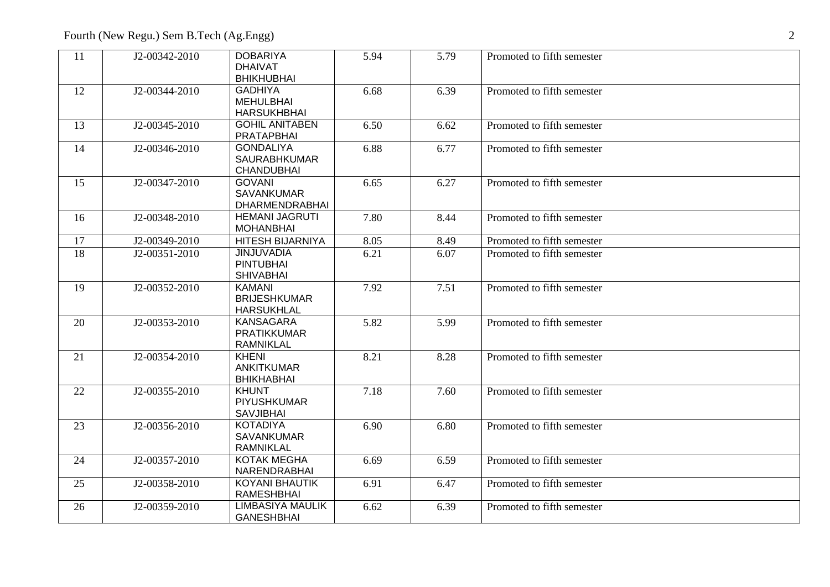| 11 | J2-00342-2010 | <b>DOBARIYA</b><br><b>DHAIVAT</b><br><b>BHIKHUBHAI</b>       | 5.94 | 5.79 | Promoted to fifth semester |
|----|---------------|--------------------------------------------------------------|------|------|----------------------------|
| 12 | J2-00344-2010 | <b>GADHIYA</b><br><b>MEHULBHAI</b><br><b>HARSUKHBHAI</b>     | 6.68 | 6.39 | Promoted to fifth semester |
| 13 | J2-00345-2010 | <b>GOHIL ANITABEN</b><br><b>PRATAPBHAI</b>                   | 6.50 | 6.62 | Promoted to fifth semester |
| 14 | J2-00346-2010 | <b>GONDALIYA</b><br><b>SAURABHKUMAR</b><br><b>CHANDUBHAI</b> | 6.88 | 6.77 | Promoted to fifth semester |
| 15 | J2-00347-2010 | <b>GOVANI</b><br><b>SAVANKUMAR</b><br><b>DHARMENDRABHAI</b>  | 6.65 | 6.27 | Promoted to fifth semester |
| 16 | J2-00348-2010 | <b>HEMANI JAGRUTI</b><br><b>MOHANBHAI</b>                    | 7.80 | 8.44 | Promoted to fifth semester |
| 17 | J2-00349-2010 | <b>HITESH BIJARNIYA</b>                                      | 8.05 | 8.49 | Promoted to fifth semester |
| 18 | J2-00351-2010 | <b>JINJUVADIA</b><br><b>PINTUBHAI</b><br><b>SHIVABHAI</b>    | 6.21 | 6.07 | Promoted to fifth semester |
| 19 | J2-00352-2010 | <b>KAMANI</b><br><b>BRIJESHKUMAR</b><br><b>HARSUKHLAL</b>    | 7.92 | 7.51 | Promoted to fifth semester |
| 20 | J2-00353-2010 | <b>KANSAGARA</b><br><b>PRATIKKUMAR</b><br><b>RAMNIKLAL</b>   | 5.82 | 5.99 | Promoted to fifth semester |
| 21 | J2-00354-2010 | <b>KHENI</b><br><b>ANKITKUMAR</b><br><b>BHIKHABHAI</b>       | 8.21 | 8.28 | Promoted to fifth semester |
| 22 | J2-00355-2010 | <b>KHUNT</b><br><b>PIYUSHKUMAR</b><br><b>SAVJIBHAI</b>       | 7.18 | 7.60 | Promoted to fifth semester |
| 23 | J2-00356-2010 | <b>KOTADIYA</b><br><b>SAVANKUMAR</b><br><b>RAMNIKLAL</b>     | 6.90 | 6.80 | Promoted to fifth semester |
| 24 | J2-00357-2010 | <b>KOTAK MEGHA</b><br>NARENDRABHAI                           | 6.69 | 6.59 | Promoted to fifth semester |
| 25 | J2-00358-2010 | <b>KOYANI BHAUTIK</b><br><b>RAMESHBHAI</b>                   | 6.91 | 6.47 | Promoted to fifth semester |
| 26 | J2-00359-2010 | <b>LIMBASIYA MAULIK</b><br><b>GANESHBHAI</b>                 | 6.62 | 6.39 | Promoted to fifth semester |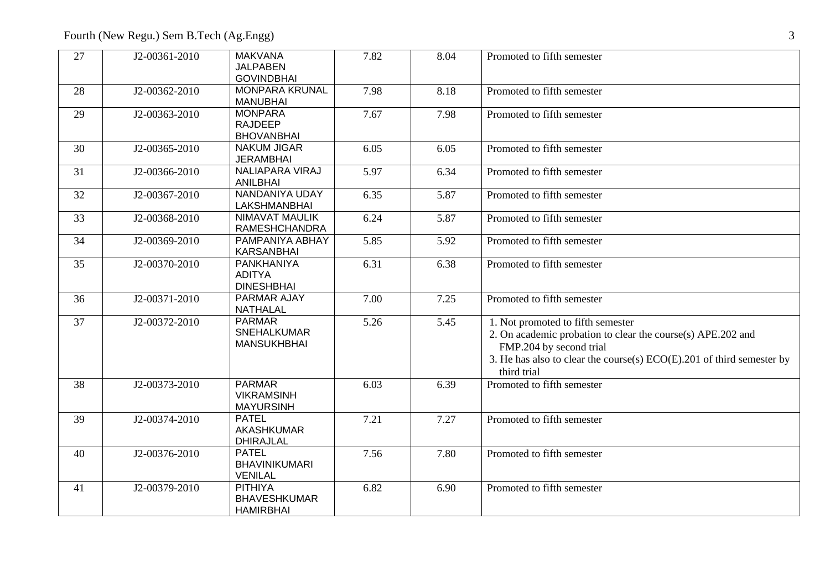| 27 | J2-00361-2010 | <b>MAKVANA</b><br><b>JALPABEN</b><br><b>GOVINDBHAI</b>    | 7.82 | 8.04 | Promoted to fifth semester                                                                                                                                                                                              |
|----|---------------|-----------------------------------------------------------|------|------|-------------------------------------------------------------------------------------------------------------------------------------------------------------------------------------------------------------------------|
| 28 | J2-00362-2010 | <b>MONPARA KRUNAL</b><br><b>MANUBHAI</b>                  | 7.98 | 8.18 | Promoted to fifth semester                                                                                                                                                                                              |
| 29 | J2-00363-2010 | <b>MONPARA</b><br><b>RAJDEEP</b><br><b>BHOVANBHAI</b>     | 7.67 | 7.98 | Promoted to fifth semester                                                                                                                                                                                              |
| 30 | J2-00365-2010 | <b>NAKUM JIGAR</b><br><b>JERAMBHAI</b>                    | 6.05 | 6.05 | Promoted to fifth semester                                                                                                                                                                                              |
| 31 | J2-00366-2010 | <b>NALIAPARA VIRAJ</b><br><b>ANILBHAI</b>                 | 5.97 | 6.34 | Promoted to fifth semester                                                                                                                                                                                              |
| 32 | J2-00367-2010 | NANDANIYA UDAY<br>LAKSHMANBHAI                            | 6.35 | 5.87 | Promoted to fifth semester                                                                                                                                                                                              |
| 33 | J2-00368-2010 | <b>NIMAVAT MAULIK</b><br><b>RAMESHCHANDRA</b>             | 6.24 | 5.87 | Promoted to fifth semester                                                                                                                                                                                              |
| 34 | J2-00369-2010 | PAMPANIYA ABHAY<br><b>KARSANBHAI</b>                      | 5.85 | 5.92 | Promoted to fifth semester                                                                                                                                                                                              |
| 35 | J2-00370-2010 | <b>PANKHANIYA</b><br><b>ADITYA</b><br><b>DINESHBHAI</b>   | 6.31 | 6.38 | Promoted to fifth semester                                                                                                                                                                                              |
| 36 | J2-00371-2010 | PARMAR AJAY<br><b>NATHALAL</b>                            | 7.00 | 7.25 | Promoted to fifth semester                                                                                                                                                                                              |
| 37 | J2-00372-2010 | <b>PARMAR</b><br><b>SNEHALKUMAR</b><br><b>MANSUKHBHAI</b> | 5.26 | 5.45 | 1. Not promoted to fifth semester<br>2. On academic probation to clear the course(s) APE.202 and<br>FMP.204 by second trial<br>3. He has also to clear the course(s) $ECO(E)$ . 201 of third semester by<br>third trial |
| 38 | J2-00373-2010 | <b>PARMAR</b><br><b>VIKRAMSINH</b><br><b>MAYURSINH</b>    | 6.03 | 6.39 | Promoted to fifth semester                                                                                                                                                                                              |
| 39 | J2-00374-2010 | <b>PATEL</b><br><b>AKASHKUMAR</b><br><b>DHIRAJLAL</b>     | 7.21 | 7.27 | Promoted to fifth semester                                                                                                                                                                                              |
| 40 | J2-00376-2010 | <b>PATEL</b><br><b>BHAVINIKUMARI</b><br><b>VENILAL</b>    | 7.56 | 7.80 | Promoted to fifth semester                                                                                                                                                                                              |
| 41 | J2-00379-2010 | <b>PITHIYA</b><br><b>BHAVESHKUMAR</b><br><b>HAMIRBHAI</b> | 6.82 | 6.90 | Promoted to fifth semester                                                                                                                                                                                              |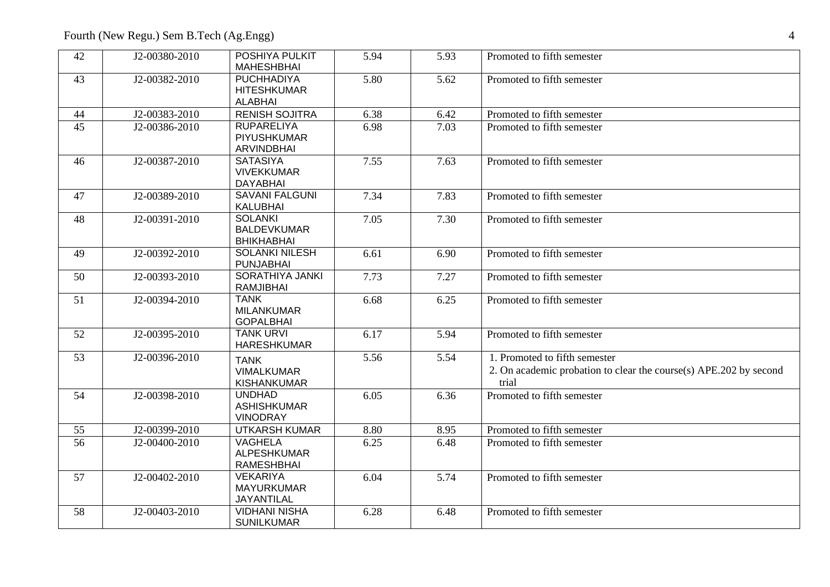| 42              | J2-00380-2010 | POSHIYA PULKIT<br><b>MAHESHBHAI</b>                       | 5.94 | 5.93 | Promoted to fifth semester                                                                                  |
|-----------------|---------------|-----------------------------------------------------------|------|------|-------------------------------------------------------------------------------------------------------------|
| 43              | J2-00382-2010 | <b>PUCHHADIYA</b><br><b>HITESHKUMAR</b><br><b>ALABHAI</b> | 5.80 | 5.62 | Promoted to fifth semester                                                                                  |
| 44              | J2-00383-2010 | <b>RENISH SOJITRA</b>                                     | 6.38 | 6.42 | Promoted to fifth semester                                                                                  |
| 45              | J2-00386-2010 | <b>RUPARELIYA</b><br>PIYUSHKUMAR<br><b>ARVINDBHAI</b>     | 6.98 | 7.03 | Promoted to fifth semester                                                                                  |
| 46              | J2-00387-2010 | <b>SATASIYA</b><br><b>VIVEKKUMAR</b><br><b>DAYABHAI</b>   | 7.55 | 7.63 | Promoted to fifth semester                                                                                  |
| 47              | J2-00389-2010 | <b>SAVANI FALGUNI</b><br><b>KALUBHAI</b>                  | 7.34 | 7.83 | Promoted to fifth semester                                                                                  |
| 48              | J2-00391-2010 | <b>SOLANKI</b><br><b>BALDEVKUMAR</b><br><b>BHIKHABHAI</b> | 7.05 | 7.30 | Promoted to fifth semester                                                                                  |
| 49              | J2-00392-2010 | <b>SOLANKI NILESH</b><br><b>PUNJABHAI</b>                 | 6.61 | 6.90 | Promoted to fifth semester                                                                                  |
| 50              | J2-00393-2010 | <b>SORATHIYA JANKI</b><br><b>RAMJIBHAI</b>                | 7.73 | 7.27 | Promoted to fifth semester                                                                                  |
| 51              | J2-00394-2010 | <b>TANK</b><br><b>MILANKUMAR</b><br><b>GOPALBHAI</b>      | 6.68 | 6.25 | Promoted to fifth semester                                                                                  |
| 52              | J2-00395-2010 | <b>TANK URVI</b><br><b>HARESHKUMAR</b>                    | 6.17 | 5.94 | Promoted to fifth semester                                                                                  |
| 53              | J2-00396-2010 | <b>TANK</b><br><b>VIMALKUMAR</b><br><b>KISHANKUMAR</b>    | 5.56 | 5.54 | 1. Promoted to fifth semester<br>2. On academic probation to clear the course(s) APE.202 by second<br>trial |
| 54              | J2-00398-2010 | <b>UNDHAD</b><br><b>ASHISHKUMAR</b><br><b>VINODRAY</b>    | 6.05 | 6.36 | Promoted to fifth semester                                                                                  |
| 55              | J2-00399-2010 | <b>UTKARSH KUMAR</b>                                      | 8.80 | 8.95 | Promoted to fifth semester                                                                                  |
| $\overline{56}$ | J2-00400-2010 | <b>VAGHELA</b><br><b>ALPESHKUMAR</b><br><b>RAMESHBHAI</b> | 6.25 | 6.48 | Promoted to fifth semester                                                                                  |
| 57              | J2-00402-2010 | <b>VEKARIYA</b><br><b>MAYURKUMAR</b><br>JAYANTILAL        | 6.04 | 5.74 | Promoted to fifth semester                                                                                  |
| 58              | J2-00403-2010 | <b>VIDHANI NISHA</b><br><b>SUNILKUMAR</b>                 | 6.28 | 6.48 | Promoted to fifth semester                                                                                  |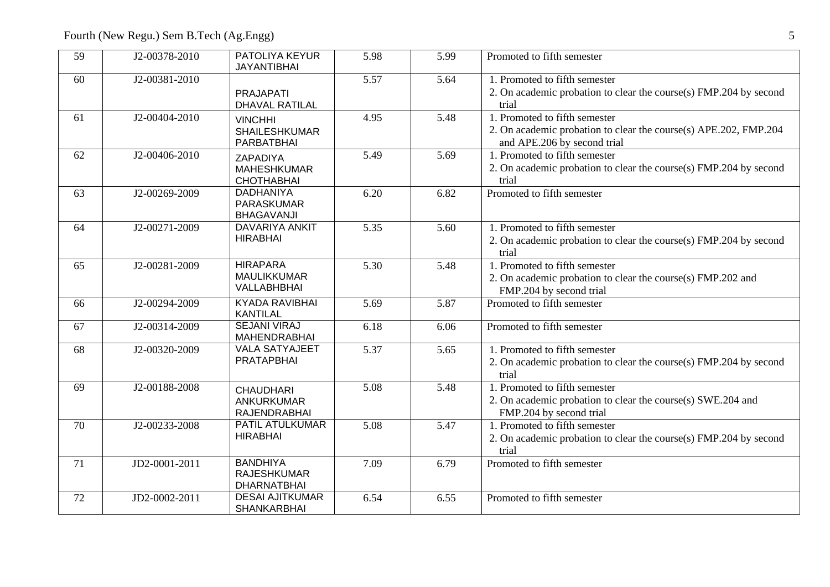| 59 | J2-00378-2010       | PATOLIYA KEYUR<br><b>JAYANTIBHAI</b>                        | 5.98              | 5.99 | Promoted to fifth semester                                                                                                       |
|----|---------------------|-------------------------------------------------------------|-------------------|------|----------------------------------------------------------------------------------------------------------------------------------|
| 60 | J2-00381-2010       | PRAJAPATI<br><b>DHAVAL RATILAL</b>                          | 5.57              | 5.64 | 1. Promoted to fifth semester<br>2. On academic probation to clear the course(s) FMP.204 by second<br>trial                      |
| 61 | J2-00404-2010       | <b>VINCHHI</b><br><b>SHAILESHKUMAR</b><br>PARBATBHAI        | 4.95              | 5.48 | 1. Promoted to fifth semester<br>2. On academic probation to clear the course(s) APE.202, FMP.204<br>and APE.206 by second trial |
| 62 | $J2 - 00406 - 2010$ | ZAPADIYA<br><b>MAHESHKUMAR</b><br><b>CHOTHABHAI</b>         | $\overline{5.49}$ | 5.69 | 1. Promoted to fifth semester<br>2. On academic probation to clear the course(s) FMP.204 by second<br>trial                      |
| 63 | J2-00269-2009       | <b>DADHANIYA</b><br>PARASKUMAR<br><b>BHAGAVANJI</b>         | 6.20              | 6.82 | Promoted to fifth semester                                                                                                       |
| 64 | J2-00271-2009       | <b>DAVARIYA ANKIT</b><br><b>HIRABHAI</b>                    | 5.35              | 5.60 | 1. Promoted to fifth semester<br>2. On academic probation to clear the course(s) FMP.204 by second<br>trial                      |
| 65 | J2-00281-2009       | <b>HIRAPARA</b><br><b>MAULIKKUMAR</b><br>VALLABHBHAI        | 5.30              | 5.48 | 1. Promoted to fifth semester<br>2. On academic probation to clear the course(s) FMP.202 and<br>FMP.204 by second trial          |
| 66 | J2-00294-2009       | <b>KYADA RAVIBHAI</b><br><b>KANTILAL</b>                    | 5.69              | 5.87 | Promoted to fifth semester                                                                                                       |
| 67 | J2-00314-2009       | <b>SEJANI VIRAJ</b><br><b>MAHENDRABHAI</b>                  | 6.18              | 6.06 | Promoted to fifth semester                                                                                                       |
| 68 | J2-00320-2009       | <b>VALA SATYAJEET</b><br><b>PRATAPBHAI</b>                  | 5.37              | 5.65 | 1. Promoted to fifth semester<br>2. On academic probation to clear the course(s) FMP.204 by second<br>trial                      |
| 69 | J2-00188-2008       | <b>CHAUDHARI</b><br><b>ANKURKUMAR</b><br>RAJENDRABHAI       | 5.08              | 5.48 | 1. Promoted to fifth semester<br>2. On academic probation to clear the course(s) SWE.204 and<br>FMP.204 by second trial          |
| 70 | J2-00233-2008       | PATIL ATULKUMAR<br><b>HIRABHAI</b>                          | 5.08              | 5.47 | 1. Promoted to fifth semester<br>2. On academic probation to clear the course(s) FMP.204 by second<br>trial                      |
| 71 | JD2-0001-2011       | <b>BANDHIYA</b><br><b>RAJESHKUMAR</b><br><b>DHARNATBHAI</b> | 7.09              | 6.79 | Promoted to fifth semester                                                                                                       |
| 72 | JD2-0002-2011       | <b>DESAI AJITKUMAR</b><br><b>SHANKARBHAI</b>                | 6.54              | 6.55 | Promoted to fifth semester                                                                                                       |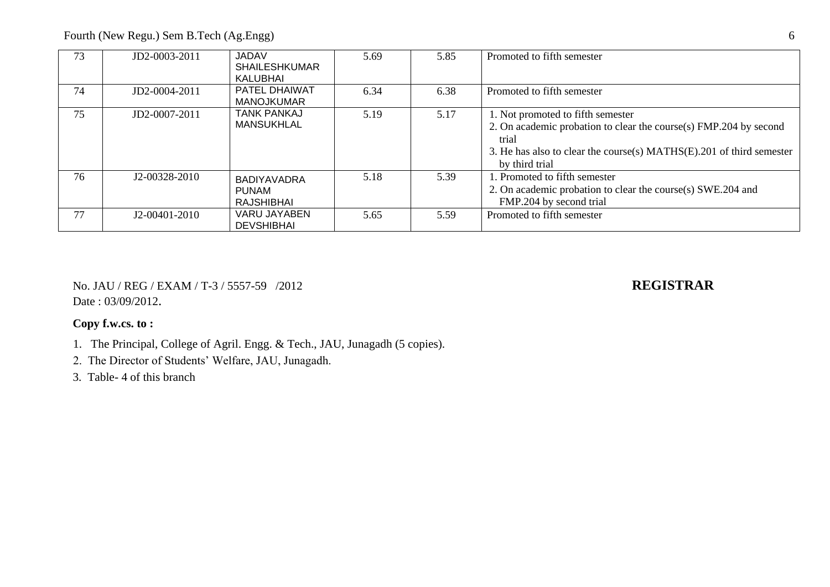Fourth (New Regu.) Sem B.Tech (Ag.Engg) 6

| 73 | JD2-0003-2011       | <b>JADAV</b><br><b>SHAILESHKUMAR</b><br>KALUBHAI        | 5.69 | 5.85 | Promoted to fifth semester                                                                                                                                                                                |
|----|---------------------|---------------------------------------------------------|------|------|-----------------------------------------------------------------------------------------------------------------------------------------------------------------------------------------------------------|
| 74 | $JD2 - 0004 - 2011$ | <b>PATEL DHAIWAT</b><br><b>MANOJKUMAR</b>               | 6.34 | 6.38 | Promoted to fifth semester                                                                                                                                                                                |
| 75 | JD2-0007-2011       | <b>TANK PANKAJ</b><br><b>MANSUKHLAL</b>                 | 5.19 | 5.17 | 1. Not promoted to fifth semester<br>2. On academic probation to clear the course(s) FMP.204 by second<br>trial<br>3. He has also to clear the course(s) MATHS(E).201 of third semester<br>by third trial |
| 76 | J2-00328-2010       | <b>BADIYAVADRA</b><br><b>PUNAM</b><br><b>RAJSHIBHAI</b> | 5.18 | 5.39 | 1. Promoted to fifth semester<br>2. On academic probation to clear the course(s) SWE.204 and<br>FMP.204 by second trial                                                                                   |
| 77 | J2-00401-2010       | VARU JAYABEN<br><b>DEVSHIBHAI</b>                       | 5.65 | 5.59 | Promoted to fifth semester                                                                                                                                                                                |

No. JAU / REG / EXAM / T-3 / 5557-59 /2012 **REGISTRAR** Date : 03/09/2012.

### **Copy f.w.cs. to :**

1. The Principal, College of Agril. Engg. & Tech., JAU, Junagadh (5 copies).

2. The Director of Students' Welfare, JAU, Junagadh.

3. Table- 4 of this branch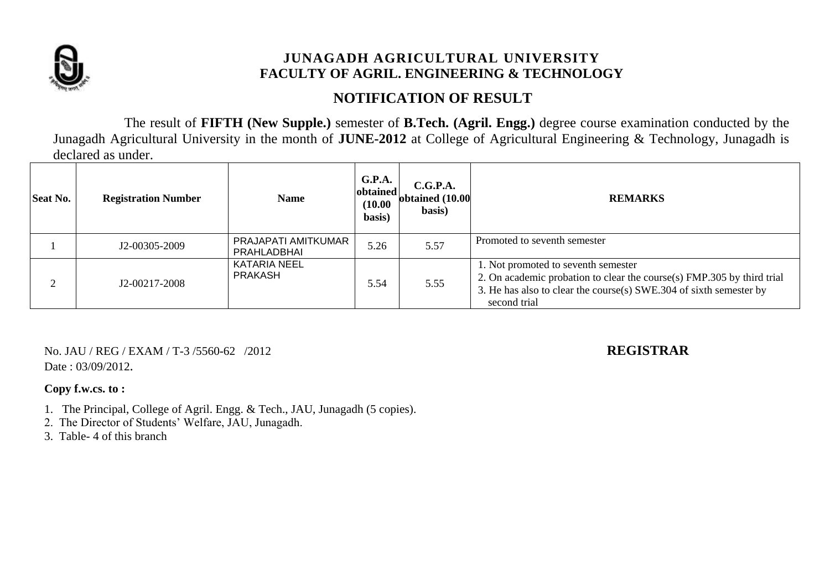

# **NOTIFICATION OF RESULT**

The result of **FIFTH (New Supple.)** semester of **B.Tech. (Agril. Engg.)** degree course examination conducted by the Junagadh Agricultural University in the month of **JUNE-2012** at College of Agricultural Engineering & Technology, Junagadh is declared as under.

| <b>Seat No.</b> | <b>Registration Number</b> | <b>Name</b>                           | <b>G.P.A.</b><br>obtained<br>(10.00)<br>basis) | C.G.P.A.<br>obtained (10.00<br>basis) | <b>REMARKS</b>                                                                                                                                                                                      |
|-----------------|----------------------------|---------------------------------------|------------------------------------------------|---------------------------------------|-----------------------------------------------------------------------------------------------------------------------------------------------------------------------------------------------------|
|                 | J2-00305-2009              | PRAJAPATI AMITKUMAR<br>PRAHLADBHAI    | 5.26                                           | 5.57                                  | Promoted to seventh semester                                                                                                                                                                        |
| ◠               | J2-00217-2008              | <b>KATARIA NEEL</b><br><b>PRAKASH</b> | 5.54                                           | 5.55                                  | 1. Not promoted to seventh semester<br>2. On academic probation to clear the course(s) FMP.305 by third trial<br>3. He has also to clear the course(s) SWE.304 of sixth semester by<br>second trial |

No. JAU / REG / EXAM / T-3 /5560-62 /2012 **REGISTRAR** Date: 03/09/2012.

- 1. The Principal, College of Agril. Engg. & Tech., JAU, Junagadh (5 copies).
- 2. The Director of Students' Welfare, JAU, Junagadh.
- 3. Table- 4 of this branch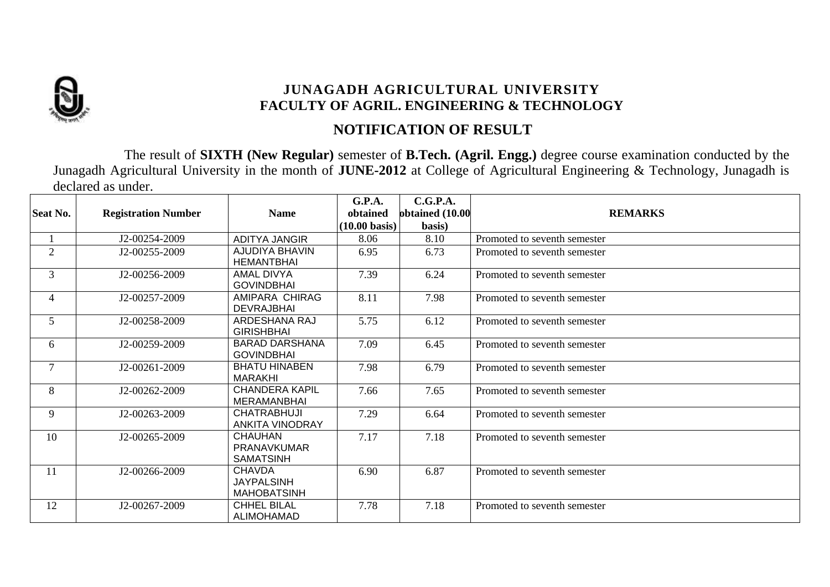

## **NOTIFICATION OF RESULT**

The result of **SIXTH (New Regular)** semester of **B.Tech. (Agril. Engg.)** degree course examination conducted by the Junagadh Agricultural University in the month of **JUNE-2012** at College of Agricultural Engineering & Technology, Junagadh is declared as under.

| <b>Seat No.</b> | <b>Registration Number</b> | <b>Name</b>                                              | G.P.A.<br>obtained<br>$(10.00 \text{ basis})$ | C.G.P.A.<br>obtained (10.00<br>basis) | <b>REMARKS</b>               |
|-----------------|----------------------------|----------------------------------------------------------|-----------------------------------------------|---------------------------------------|------------------------------|
|                 | J2-00254-2009              | ADITYA JANGIR                                            | 8.06                                          | 8.10                                  | Promoted to seventh semester |
| $\overline{2}$  | J2-00255-2009              | AJUDIYA BHAVIN<br><b>HEMANTBHAI</b>                      | 6.95                                          | 6.73                                  | Promoted to seventh semester |
| $\mathfrak{Z}$  | J2-00256-2009              | AMAL DIVYA<br><b>GOVINDBHAI</b>                          | 7.39                                          | 6.24                                  | Promoted to seventh semester |
| $\overline{4}$  | J2-00257-2009              | AMIPARA CHIRAG<br><b>DEVRAJBHAI</b>                      | 8.11                                          | 7.98                                  | Promoted to seventh semester |
| 5 <sup>5</sup>  | J2-00258-2009              | ARDESHANA RAJ<br><b>GIRISHBHAI</b>                       | 5.75                                          | 6.12                                  | Promoted to seventh semester |
| 6               | J2-00259-2009              | <b>BARAD DARSHANA</b><br><b>GOVINDBHAI</b>               | 7.09                                          | 6.45                                  | Promoted to seventh semester |
| $\overline{7}$  | J2-00261-2009              | <b>BHATU HINABEN</b><br><b>MARAKHI</b>                   | 7.98                                          | 6.79                                  | Promoted to seventh semester |
| 8               | J2-00262-2009              | <b>CHANDERA KAPIL</b><br><b>MERAMANBHAI</b>              | 7.66                                          | 7.65                                  | Promoted to seventh semester |
| 9               | J2-00263-2009              | <b>CHATRABHUJI</b><br><b>ANKITA VINODRAY</b>             | 7.29                                          | 6.64                                  | Promoted to seventh semester |
| 10              | J2-00265-2009              | <b>CHAUHAN</b><br>PRANAVKUMAR<br><b>SAMATSINH</b>        | 7.17                                          | 7.18                                  | Promoted to seventh semester |
| 11              | J2-00266-2009              | <b>CHAVDA</b><br><b>JAYPALSINH</b><br><b>MAHOBATSINH</b> | 6.90                                          | 6.87                                  | Promoted to seventh semester |
| 12              | J2-00267-2009              | <b>CHHEL BILAL</b><br><b>ALIMOHAMAD</b>                  | 7.78                                          | 7.18                                  | Promoted to seventh semester |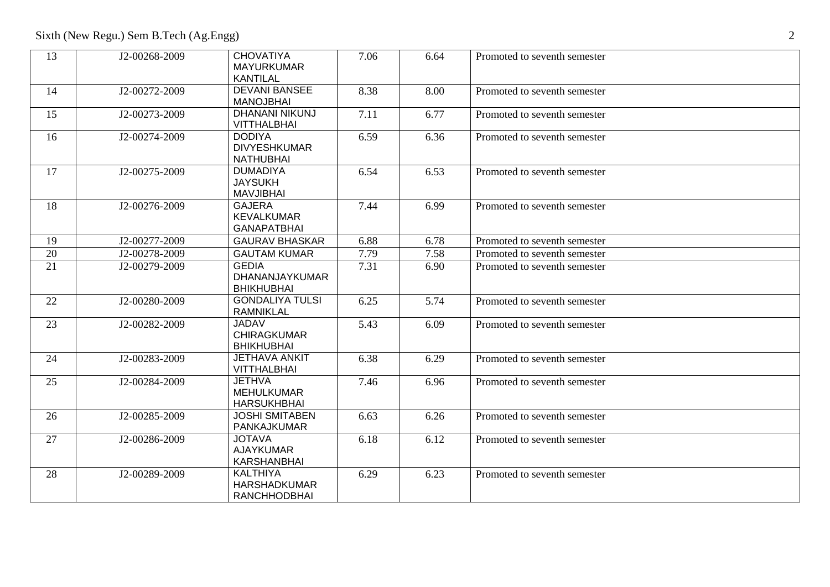Sixth (New Regu.) Sem B.Tech (Ag.Engg)

| 13 | J2-00268-2009 | <b>CHOVATIYA</b><br><b>MAYURKUMAR</b>                         | 7.06 | 6.64 | Promoted to seventh semester |
|----|---------------|---------------------------------------------------------------|------|------|------------------------------|
|    |               | <b>KANTILAL</b>                                               |      |      |                              |
| 14 | J2-00272-2009 | <b>DEVANI BANSEE</b><br><b>MANOJBHAI</b>                      | 8.38 | 8.00 | Promoted to seventh semester |
| 15 | J2-00273-2009 | <b>DHANANI NIKUNJ</b><br><b>VITTHALBHAI</b>                   | 7.11 | 6.77 | Promoted to seventh semester |
| 16 | J2-00274-2009 | <b>DODIYA</b><br><b>DIVYESHKUMAR</b><br><b>NATHUBHAI</b>      | 6.59 | 6.36 | Promoted to seventh semester |
| 17 | J2-00275-2009 | <b>DUMADIYA</b><br><b>JAYSUKH</b><br><b>MAVJIBHAI</b>         | 6.54 | 6.53 | Promoted to seventh semester |
| 18 | J2-00276-2009 | <b>GAJERA</b><br><b>KEVALKUMAR</b><br><b>GANAPATBHAI</b>      | 7.44 | 6.99 | Promoted to seventh semester |
| 19 | J2-00277-2009 | <b>GAURAV BHASKAR</b>                                         | 6.88 | 6.78 | Promoted to seventh semester |
| 20 | J2-00278-2009 | <b>GAUTAM KUMAR</b>                                           | 7.79 | 7.58 | Promoted to seventh semester |
| 21 | J2-00279-2009 | <b>GEDIA</b><br>DHANANJAYKUMAR<br><b>BHIKHUBHAI</b>           | 7.31 | 6.90 | Promoted to seventh semester |
| 22 | J2-00280-2009 | <b>GONDALIYA TULSI</b><br><b>RAMNIKLAL</b>                    | 6.25 | 5.74 | Promoted to seventh semester |
| 23 | J2-00282-2009 | <b>JADAV</b><br><b>CHIRAGKUMAR</b><br><b>BHIKHUBHAI</b>       | 5.43 | 6.09 | Promoted to seventh semester |
| 24 | J2-00283-2009 | <b>JETHAVA ANKIT</b><br><b>VITTHALBHAI</b>                    | 6.38 | 6.29 | Promoted to seventh semester |
| 25 | J2-00284-2009 | <b>JETHVA</b><br><b>MEHULKUMAR</b><br><b>HARSUKHBHAI</b>      | 7.46 | 6.96 | Promoted to seventh semester |
| 26 | J2-00285-2009 | <b>JOSHI SMITABEN</b><br>PANKAJKUMAR                          | 6.63 | 6.26 | Promoted to seventh semester |
| 27 | J2-00286-2009 | <b>JOTAVA</b><br><b>AJAYKUMAR</b><br>KARSHANBHAI              | 6.18 | 6.12 | Promoted to seventh semester |
| 28 | J2-00289-2009 | <b>KALTHIYA</b><br><b>HARSHADKUMAR</b><br><b>RANCHHODBHAI</b> | 6.29 | 6.23 | Promoted to seventh semester |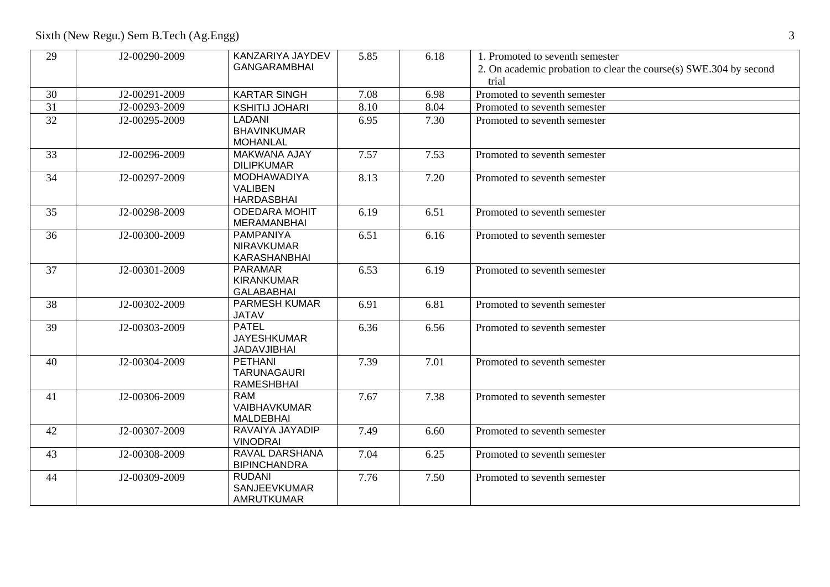Sixth (New Regu.) Sem B.Tech (Ag.Engg) 3

| 29              | J2-00290-2009 | KANZARIYA JAYDEV<br><b>GANGARAMBHAI</b>                   | 5.85 | 6.18 | 1. Promoted to seventh semester<br>2. On academic probation to clear the course(s) SWE.304 by second<br>trial |
|-----------------|---------------|-----------------------------------------------------------|------|------|---------------------------------------------------------------------------------------------------------------|
| 30              | J2-00291-2009 | <b>KARTAR SINGH</b>                                       | 7.08 | 6.98 | Promoted to seventh semester                                                                                  |
| $\overline{31}$ | J2-00293-2009 | <b>KSHITIJ JOHARI</b>                                     | 8.10 | 8.04 | Promoted to seventh semester                                                                                  |
| $\overline{32}$ | J2-00295-2009 | <b>LADANI</b><br><b>BHAVINKUMAR</b><br><b>MOHANLAL</b>    | 6.95 | 7.30 | Promoted to seventh semester                                                                                  |
| 33              | J2-00296-2009 | <b>MAKWANA AJAY</b><br><b>DILIPKUMAR</b>                  | 7.57 | 7.53 | Promoted to seventh semester                                                                                  |
| 34              | J2-00297-2009 | <b>MODHAWADIYA</b><br><b>VALIBEN</b><br><b>HARDASBHAI</b> | 8.13 | 7.20 | Promoted to seventh semester                                                                                  |
| 35              | J2-00298-2009 | <b>ODEDARA MOHIT</b><br>MERAMANBHAI                       | 6.19 | 6.51 | Promoted to seventh semester                                                                                  |
| $\overline{36}$ | J2-00300-2009 | PAMPANIYA<br><b>NIRAVKUMAR</b><br>KARASHANBHAI            | 6.51 | 6.16 | Promoted to seventh semester                                                                                  |
| 37              | J2-00301-2009 | <b>PARAMAR</b><br><b>KIRANKUMAR</b><br><b>GALABABHAI</b>  | 6.53 | 6.19 | Promoted to seventh semester                                                                                  |
| 38              | J2-00302-2009 | PARMESH KUMAR<br><b>JATAV</b>                             | 6.91 | 6.81 | Promoted to seventh semester                                                                                  |
| 39              | J2-00303-2009 | <b>PATEL</b><br><b>JAYESHKUMAR</b><br>JADAVJIBHAI         | 6.36 | 6.56 | Promoted to seventh semester                                                                                  |
| 40              | J2-00304-2009 | <b>PETHANI</b><br><b>TARUNAGAURI</b><br><b>RAMESHBHAI</b> | 7.39 | 7.01 | Promoted to seventh semester                                                                                  |
| 41              | J2-00306-2009 | <b>RAM</b><br>VAIBHAVKUMAR<br><b>MALDEBHAI</b>            | 7.67 | 7.38 | Promoted to seventh semester                                                                                  |
| 42              | J2-00307-2009 | RAVAIYA JAYADIP<br><b>VINODRAI</b>                        | 7.49 | 6.60 | Promoted to seventh semester                                                                                  |
| 43              | J2-00308-2009 | RAVAL DARSHANA<br><b>BIPINCHANDRA</b>                     | 7.04 | 6.25 | Promoted to seventh semester                                                                                  |
| 44              | J2-00309-2009 | <b>RUDANI</b><br>SANJEEVKUMAR<br><b>AMRUTKUMAR</b>        | 7.76 | 7.50 | Promoted to seventh semester                                                                                  |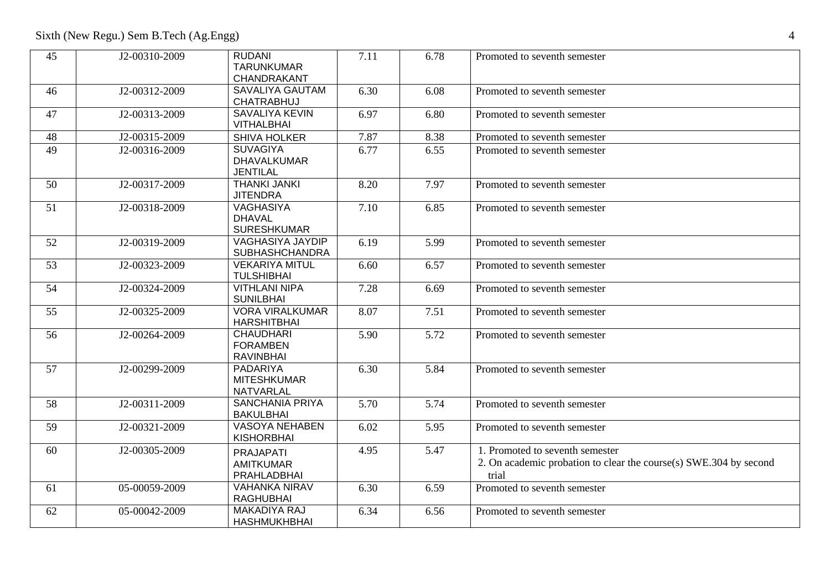Sixth (New Regu.) Sem B.Tech (Ag.Engg) 4

| 45 | J2-00310-2009 | <b>RUDANI</b><br><b>TARUNKUMAR</b><br>CHANDRAKANT        | 7.11 | 6.78 | Promoted to seventh semester                                                                                  |
|----|---------------|----------------------------------------------------------|------|------|---------------------------------------------------------------------------------------------------------------|
| 46 | J2-00312-2009 | SAVALIYA GAUTAM<br>CHATRABHUJ                            | 6.30 | 6.08 | Promoted to seventh semester                                                                                  |
| 47 | J2-00313-2009 | <b>SAVALIYA KEVIN</b><br>VITHALBHAI                      | 6.97 | 6.80 | Promoted to seventh semester                                                                                  |
| 48 | J2-00315-2009 | <b>SHIVA HOLKER</b>                                      | 7.87 | 8.38 | Promoted to seventh semester                                                                                  |
| 49 | J2-00316-2009 | <b>SUVAGIYA</b><br><b>DHAVALKUMAR</b><br><b>JENTILAL</b> | 6.77 | 6.55 | Promoted to seventh semester                                                                                  |
| 50 | J2-00317-2009 | <b>THANKI JANKI</b><br><b>JITENDRA</b>                   | 8.20 | 7.97 | Promoted to seventh semester                                                                                  |
| 51 | J2-00318-2009 | <b>VAGHASIYA</b><br><b>DHAVAL</b><br><b>SURESHKUMAR</b>  | 7.10 | 6.85 | Promoted to seventh semester                                                                                  |
| 52 | J2-00319-2009 | <b>VAGHASIYA JAYDIP</b><br><b>SUBHASHCHANDRA</b>         | 6.19 | 5.99 | Promoted to seventh semester                                                                                  |
| 53 | J2-00323-2009 | <b>VEKARIYA MITUL</b><br><b>TULSHIBHAI</b>               | 6.60 | 6.57 | Promoted to seventh semester                                                                                  |
| 54 | J2-00324-2009 | <b>VITHLANI NIPA</b><br><b>SUNILBHAI</b>                 | 7.28 | 6.69 | Promoted to seventh semester                                                                                  |
| 55 | J2-00325-2009 | <b>VORA VIRALKUMAR</b><br><b>HARSHITBHAI</b>             | 8.07 | 7.51 | Promoted to seventh semester                                                                                  |
| 56 | J2-00264-2009 | <b>CHAUDHARI</b><br><b>FORAMBEN</b><br><b>RAVINBHAI</b>  | 5.90 | 5.72 | Promoted to seventh semester                                                                                  |
| 57 | J2-00299-2009 | PADARIYA<br><b>MITESHKUMAR</b><br><b>NATVARLAL</b>       | 6.30 | 5.84 | Promoted to seventh semester                                                                                  |
| 58 | J2-00311-2009 | <b>SANCHANIA PRIYA</b><br><b>BAKULBHAI</b>               | 5.70 | 5.74 | Promoted to seventh semester                                                                                  |
| 59 | J2-00321-2009 | <b>VASOYA NEHABEN</b><br><b>KISHORBHAI</b>               | 6.02 | 5.95 | Promoted to seventh semester                                                                                  |
| 60 | J2-00305-2009 | PRAJAPATI<br><b>AMITKUMAR</b><br>PRAHLADBHAI             | 4.95 | 5.47 | 1. Promoted to seventh semester<br>2. On academic probation to clear the course(s) SWE.304 by second<br>trial |
| 61 | 05-00059-2009 | <b>VAHANKA NIRAV</b><br><b>RAGHUBHAI</b>                 | 6.30 | 6.59 | Promoted to seventh semester                                                                                  |
| 62 | 05-00042-2009 | MAKADIYA RAJ<br><b>HASHMUKHBHAI</b>                      | 6.34 | 6.56 | Promoted to seventh semester                                                                                  |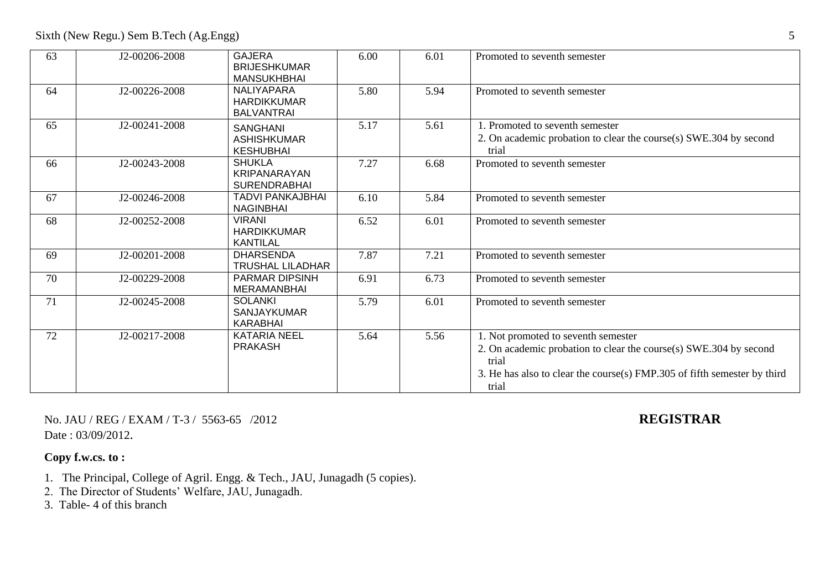Sixth (New Regu.) Sem B.Tech (Ag.Engg) 5

| 63 | J2-00206-2008 | <b>GAJERA</b><br><b>BRIJESHKUMAR</b><br><b>MANSUKHBHAI</b>   | 6.00 | 6.01 | Promoted to seventh semester                                                                                                                                                                           |
|----|---------------|--------------------------------------------------------------|------|------|--------------------------------------------------------------------------------------------------------------------------------------------------------------------------------------------------------|
| 64 | J2-00226-2008 | <b>NALIYAPARA</b><br><b>HARDIKKUMAR</b><br><b>BALVANTRAI</b> | 5.80 | 5.94 | Promoted to seventh semester                                                                                                                                                                           |
| 65 | J2-00241-2008 | <b>SANGHANI</b><br><b>ASHISHKUMAR</b><br><b>KESHUBHAI</b>    | 5.17 | 5.61 | 1. Promoted to seventh semester<br>2. On academic probation to clear the course(s) SWE.304 by second<br>trial                                                                                          |
| 66 | J2-00243-2008 | <b>SHUKLA</b><br>KRIPANARAYAN<br><b>SURENDRABHAI</b>         | 7.27 | 6.68 | Promoted to seventh semester                                                                                                                                                                           |
| 67 | J2-00246-2008 | TADVI PANKAJBHAI<br><b>NAGINBHAI</b>                         | 6.10 | 5.84 | Promoted to seventh semester                                                                                                                                                                           |
| 68 | J2-00252-2008 | <b>VIRANI</b><br><b>HARDIKKUMAR</b><br><b>KANTILAL</b>       | 6.52 | 6.01 | Promoted to seventh semester                                                                                                                                                                           |
| 69 | J2-00201-2008 | <b>DHARSENDA</b><br><b>TRUSHAL LILADHAR</b>                  | 7.87 | 7.21 | Promoted to seventh semester                                                                                                                                                                           |
| 70 | J2-00229-2008 | PARMAR DIPSINH<br><b>MERAMANBHAI</b>                         | 6.91 | 6.73 | Promoted to seventh semester                                                                                                                                                                           |
| 71 | J2-00245-2008 | <b>SOLANKI</b><br>SANJAYKUMAR<br><b>KARABHAI</b>             | 5.79 | 6.01 | Promoted to seventh semester                                                                                                                                                                           |
| 72 | J2-00217-2008 | <b>KATARIA NEEL</b><br><b>PRAKASH</b>                        | 5.64 | 5.56 | 1. Not promoted to seventh semester<br>2. On academic probation to clear the course(s) SWE.304 by second<br>trial<br>3. He has also to clear the course(s) FMP.305 of fifth semester by third<br>trial |

No. JAU / REG / EXAM / T-3 / 5563-65 /2012 **REGISTRAR** Date: 03/09/2012.

- 1. The Principal, College of Agril. Engg. & Tech., JAU, Junagadh (5 copies).
- 2. The Director of Students' Welfare, JAU, Junagadh.
- 3. Table- 4 of this branch